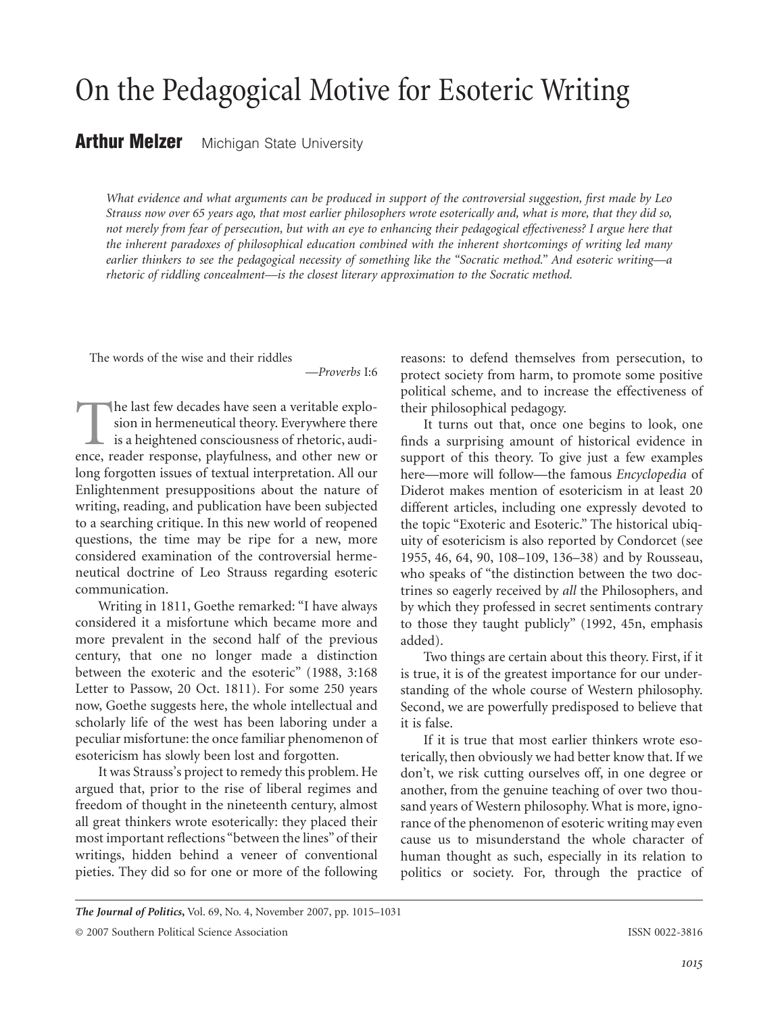# On the Pedagogical Motive for Esoteric Writing

**Arthur Melzer** Michigan State University

*What evidence and what arguments can be produced in support of the controversial suggestion, first made by Leo Strauss now over 65 years ago, that most earlier philosophers wrote esoterically and, what is more, that they did so, not merely from fear of persecution, but with an eye to enhancing their pedagogical effectiveness? I argue here that the inherent paradoxes of philosophical education combined with the inherent shortcomings of writing led many earlier thinkers to see the pedagogical necessity of something like the "Socratic method." And esoteric writing—a rhetoric of riddling concealment—is the closest literary approximation to the Socratic method.*

The words of the wise and their riddles

—*Proverbs* I:6

The last few decades have seen a veritable explosion in hermeneutical theory. Everywhere there is a heightened consciousness of rhetoric, audience, reader response, playfulness, and other new or sion in hermeneutical theory. Everywhere there is a heightened consciousness of rhetoric, audience, reader response, playfulness, and other new or long forgotten issues of textual interpretation. All our Enlightenment presuppositions about the nature of writing, reading, and publication have been subjected to a searching critique. In this new world of reopened questions, the time may be ripe for a new, more considered examination of the controversial hermeneutical doctrine of Leo Strauss regarding esoteric communication.

Writing in 1811, Goethe remarked: "I have always considered it a misfortune which became more and more prevalent in the second half of the previous century, that one no longer made a distinction between the exoteric and the esoteric" (1988, 3:168 Letter to Passow, 20 Oct. 1811). For some 250 years now, Goethe suggests here, the whole intellectual and scholarly life of the west has been laboring under a peculiar misfortune: the once familiar phenomenon of esotericism has slowly been lost and forgotten.

It was Strauss's project to remedy this problem. He argued that, prior to the rise of liberal regimes and freedom of thought in the nineteenth century, almost all great thinkers wrote esoterically: they placed their most important reflections "between the lines" of their writings, hidden behind a veneer of conventional pieties. They did so for one or more of the following reasons: to defend themselves from persecution, to protect society from harm, to promote some positive political scheme, and to increase the effectiveness of their philosophical pedagogy.

It turns out that, once one begins to look, one finds a surprising amount of historical evidence in support of this theory. To give just a few examples here—more will follow—the famous *Encyclopedia* of Diderot makes mention of esotericism in at least 20 different articles, including one expressly devoted to the topic "Exoteric and Esoteric." The historical ubiquity of esotericism is also reported by Condorcet (see 1955, 46, 64, 90, 108–109, 136–38) and by Rousseau, who speaks of "the distinction between the two doctrines so eagerly received by *all* the Philosophers, and by which they professed in secret sentiments contrary to those they taught publicly" (1992, 45n, emphasis added).

Two things are certain about this theory. First, if it is true, it is of the greatest importance for our understanding of the whole course of Western philosophy. Second, we are powerfully predisposed to believe that it is false.

If it is true that most earlier thinkers wrote esoterically, then obviously we had better know that. If we don't, we risk cutting ourselves off, in one degree or another, from the genuine teaching of over two thousand years of Western philosophy. What is more, ignorance of the phenomenon of esoteric writing may even cause us to misunderstand the whole character of human thought as such, especially in its relation to politics or society. For, through the practice of

*The Journal of Politics***,** Vol. 69, No. 4, November 2007, pp. 1015–1031

© 2007 Southern Political Science Association ISSN 0022-3816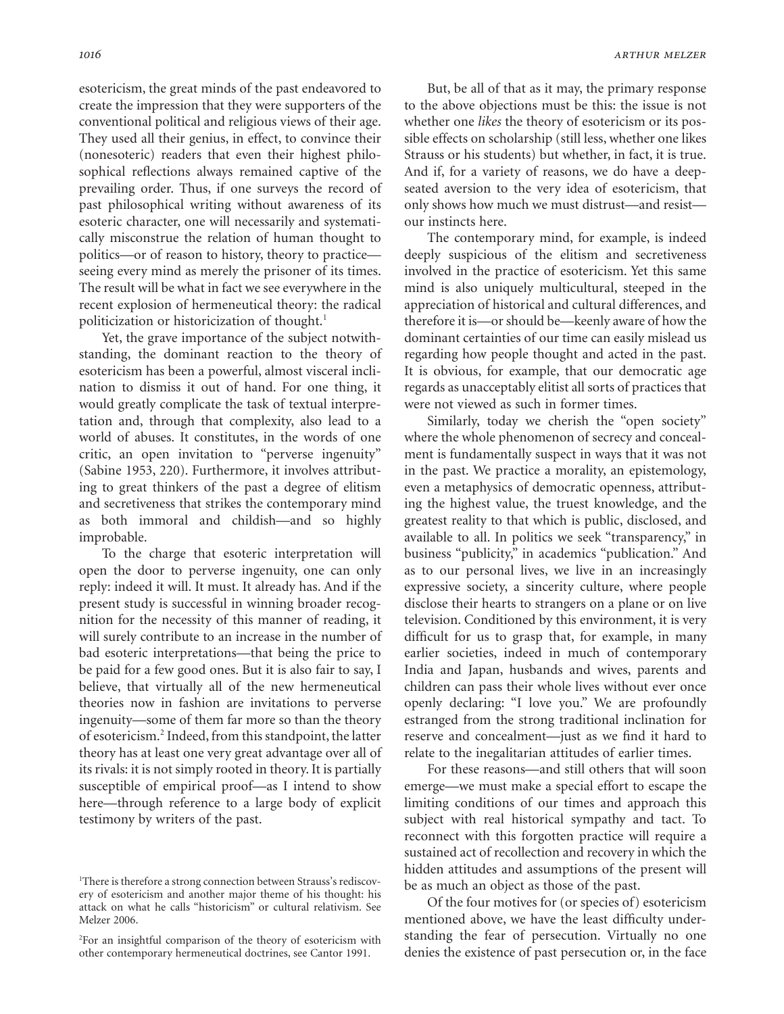esotericism, the great minds of the past endeavored to create the impression that they were supporters of the conventional political and religious views of their age. They used all their genius, in effect, to convince their (nonesoteric) readers that even their highest philosophical reflections always remained captive of the prevailing order. Thus, if one surveys the record of past philosophical writing without awareness of its esoteric character, one will necessarily and systematically misconstrue the relation of human thought to politics—or of reason to history, theory to practice seeing every mind as merely the prisoner of its times. The result will be what in fact we see everywhere in the recent explosion of hermeneutical theory: the radical politicization or historicization of thought.<sup>1</sup>

Yet, the grave importance of the subject notwithstanding, the dominant reaction to the theory of esotericism has been a powerful, almost visceral inclination to dismiss it out of hand. For one thing, it would greatly complicate the task of textual interpretation and, through that complexity, also lead to a world of abuses. It constitutes, in the words of one critic, an open invitation to "perverse ingenuity" (Sabine 1953, 220). Furthermore, it involves attributing to great thinkers of the past a degree of elitism and secretiveness that strikes the contemporary mind as both immoral and childish—and so highly improbable.

To the charge that esoteric interpretation will open the door to perverse ingenuity, one can only reply: indeed it will. It must. It already has. And if the present study is successful in winning broader recognition for the necessity of this manner of reading, it will surely contribute to an increase in the number of bad esoteric interpretations—that being the price to be paid for a few good ones. But it is also fair to say, I believe, that virtually all of the new hermeneutical theories now in fashion are invitations to perverse ingenuity—some of them far more so than the theory of esotericism.2 Indeed, from this standpoint, the latter theory has at least one very great advantage over all of its rivals: it is not simply rooted in theory. It is partially susceptible of empirical proof—as I intend to show here—through reference to a large body of explicit testimony by writers of the past.

But, be all of that as it may, the primary response to the above objections must be this: the issue is not whether one *likes* the theory of esotericism or its possible effects on scholarship (still less, whether one likes Strauss or his students) but whether, in fact, it is true. And if, for a variety of reasons, we do have a deepseated aversion to the very idea of esotericism, that only shows how much we must distrust—and resist our instincts here.

The contemporary mind, for example, is indeed deeply suspicious of the elitism and secretiveness involved in the practice of esotericism. Yet this same mind is also uniquely multicultural, steeped in the appreciation of historical and cultural differences, and therefore it is—or should be—keenly aware of how the dominant certainties of our time can easily mislead us regarding how people thought and acted in the past. It is obvious, for example, that our democratic age regards as unacceptably elitist all sorts of practices that were not viewed as such in former times.

Similarly, today we cherish the "open society" where the whole phenomenon of secrecy and concealment is fundamentally suspect in ways that it was not in the past. We practice a morality, an epistemology, even a metaphysics of democratic openness, attributing the highest value, the truest knowledge, and the greatest reality to that which is public, disclosed, and available to all. In politics we seek "transparency," in business "publicity," in academics "publication." And as to our personal lives, we live in an increasingly expressive society, a sincerity culture, where people disclose their hearts to strangers on a plane or on live television. Conditioned by this environment, it is very difficult for us to grasp that, for example, in many earlier societies, indeed in much of contemporary India and Japan, husbands and wives, parents and children can pass their whole lives without ever once openly declaring: "I love you." We are profoundly estranged from the strong traditional inclination for reserve and concealment—just as we find it hard to relate to the inegalitarian attitudes of earlier times.

For these reasons—and still others that will soon emerge—we must make a special effort to escape the limiting conditions of our times and approach this subject with real historical sympathy and tact. To reconnect with this forgotten practice will require a sustained act of recollection and recovery in which the hidden attitudes and assumptions of the present will be as much an object as those of the past.

Of the four motives for (or species of) esotericism mentioned above, we have the least difficulty understanding the fear of persecution. Virtually no one denies the existence of past persecution or, in the face

<sup>&</sup>lt;sup>1</sup>There is therefore a strong connection between Strauss's rediscovery of esotericism and another major theme of his thought: his attack on what he calls "historicism" or cultural relativism. See Melzer 2006.

<sup>2</sup> For an insightful comparison of the theory of esotericism with other contemporary hermeneutical doctrines, see Cantor 1991.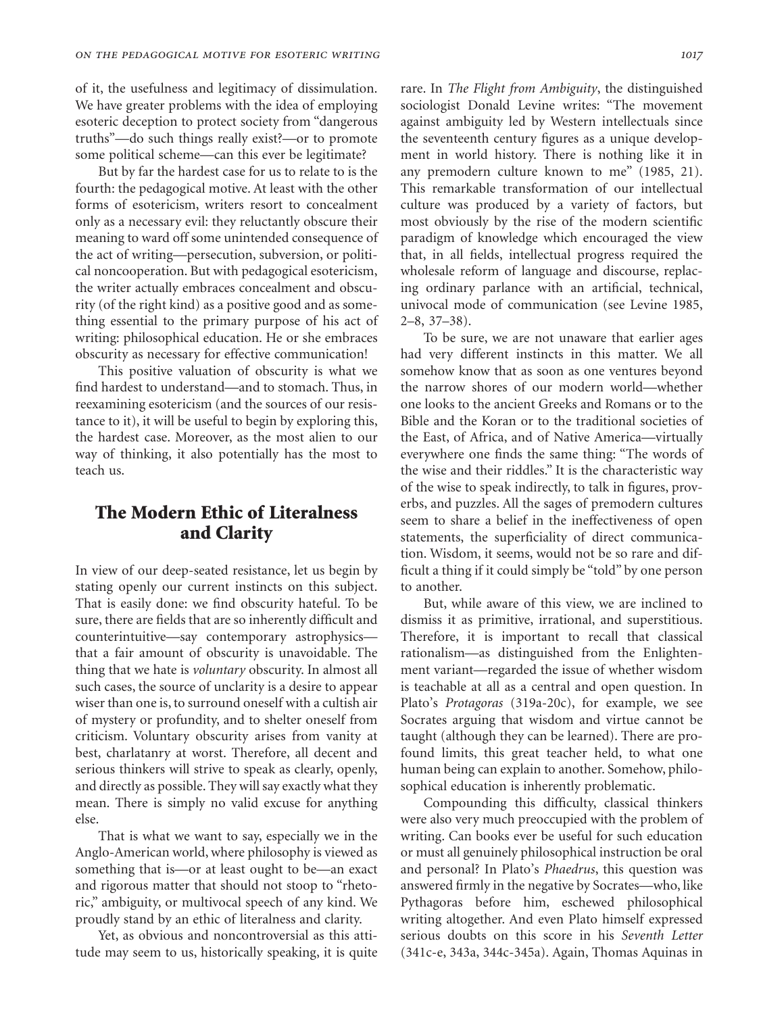of it, the usefulness and legitimacy of dissimulation. We have greater problems with the idea of employing esoteric deception to protect society from "dangerous truths"—do such things really exist?—or to promote some political scheme—can this ever be legitimate?

But by far the hardest case for us to relate to is the fourth: the pedagogical motive. At least with the other forms of esotericism, writers resort to concealment only as a necessary evil: they reluctantly obscure their meaning to ward off some unintended consequence of the act of writing—persecution, subversion, or political noncooperation. But with pedagogical esotericism, the writer actually embraces concealment and obscurity (of the right kind) as a positive good and as something essential to the primary purpose of his act of writing: philosophical education. He or she embraces obscurity as necessary for effective communication!

This positive valuation of obscurity is what we find hardest to understand—and to stomach. Thus, in reexamining esotericism (and the sources of our resistance to it), it will be useful to begin by exploring this, the hardest case. Moreover, as the most alien to our way of thinking, it also potentially has the most to teach us.

# **The Modern Ethic of Literalness and Clarity**

In view of our deep-seated resistance, let us begin by stating openly our current instincts on this subject. That is easily done: we find obscurity hateful. To be sure, there are fields that are so inherently difficult and counterintuitive—say contemporary astrophysics that a fair amount of obscurity is unavoidable. The thing that we hate is *voluntary* obscurity. In almost all such cases, the source of unclarity is a desire to appear wiser than one is, to surround oneself with a cultish air of mystery or profundity, and to shelter oneself from criticism. Voluntary obscurity arises from vanity at best, charlatanry at worst. Therefore, all decent and serious thinkers will strive to speak as clearly, openly, and directly as possible. They will say exactly what they mean. There is simply no valid excuse for anything else.

That is what we want to say, especially we in the Anglo-American world, where philosophy is viewed as something that is—or at least ought to be—an exact and rigorous matter that should not stoop to "rhetoric," ambiguity, or multivocal speech of any kind. We proudly stand by an ethic of literalness and clarity.

Yet, as obvious and noncontroversial as this attitude may seem to us, historically speaking, it is quite rare. In *The Flight from Ambiguity*, the distinguished sociologist Donald Levine writes: "The movement against ambiguity led by Western intellectuals since the seventeenth century figures as a unique development in world history. There is nothing like it in any premodern culture known to me" (1985, 21). This remarkable transformation of our intellectual culture was produced by a variety of factors, but most obviously by the rise of the modern scientific paradigm of knowledge which encouraged the view that, in all fields, intellectual progress required the wholesale reform of language and discourse, replacing ordinary parlance with an artificial, technical, univocal mode of communication (see Levine 1985, 2–8, 37–38).

To be sure, we are not unaware that earlier ages had very different instincts in this matter. We all somehow know that as soon as one ventures beyond the narrow shores of our modern world—whether one looks to the ancient Greeks and Romans or to the Bible and the Koran or to the traditional societies of the East, of Africa, and of Native America—virtually everywhere one finds the same thing: "The words of the wise and their riddles." It is the characteristic way of the wise to speak indirectly, to talk in figures, proverbs, and puzzles. All the sages of premodern cultures seem to share a belief in the ineffectiveness of open statements, the superficiality of direct communication. Wisdom, it seems, would not be so rare and difficult a thing if it could simply be "told" by one person to another.

But, while aware of this view, we are inclined to dismiss it as primitive, irrational, and superstitious. Therefore, it is important to recall that classical rationalism—as distinguished from the Enlightenment variant—regarded the issue of whether wisdom is teachable at all as a central and open question. In Plato's *Protagoras* (319a-20c), for example, we see Socrates arguing that wisdom and virtue cannot be taught (although they can be learned). There are profound limits, this great teacher held, to what one human being can explain to another. Somehow, philosophical education is inherently problematic.

Compounding this difficulty, classical thinkers were also very much preoccupied with the problem of writing. Can books ever be useful for such education or must all genuinely philosophical instruction be oral and personal? In Plato's *Phaedrus*, this question was answered firmly in the negative by Socrates—who, like Pythagoras before him, eschewed philosophical writing altogether. And even Plato himself expressed serious doubts on this score in his *Seventh Letter* (341c-e, 343a, 344c-345a). Again, Thomas Aquinas in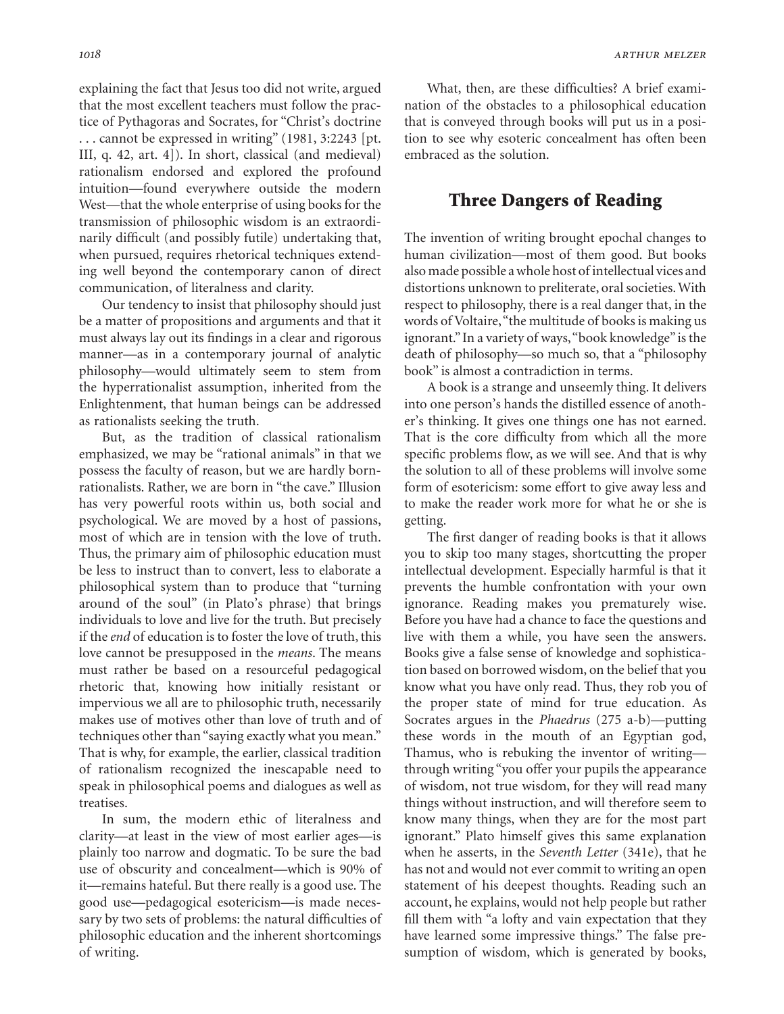explaining the fact that Jesus too did not write, argued that the most excellent teachers must follow the practice of Pythagoras and Socrates, for "Christ's doctrine . . . cannot be expressed in writing" (1981, 3:2243 [pt. III, q. 42, art. 4]). In short, classical (and medieval) rationalism endorsed and explored the profound intuition—found everywhere outside the modern West—that the whole enterprise of using books for the transmission of philosophic wisdom is an extraordinarily difficult (and possibly futile) undertaking that, when pursued, requires rhetorical techniques extending well beyond the contemporary canon of direct communication, of literalness and clarity.

Our tendency to insist that philosophy should just be a matter of propositions and arguments and that it must always lay out its findings in a clear and rigorous manner—as in a contemporary journal of analytic philosophy—would ultimately seem to stem from the hyperrationalist assumption, inherited from the Enlightenment, that human beings can be addressed as rationalists seeking the truth.

But, as the tradition of classical rationalism emphasized, we may be "rational animals" in that we possess the faculty of reason, but we are hardly bornrationalists. Rather, we are born in "the cave." Illusion has very powerful roots within us, both social and psychological. We are moved by a host of passions, most of which are in tension with the love of truth. Thus, the primary aim of philosophic education must be less to instruct than to convert, less to elaborate a philosophical system than to produce that "turning around of the soul" (in Plato's phrase) that brings individuals to love and live for the truth. But precisely if the *end* of education is to foster the love of truth, this love cannot be presupposed in the *means*. The means must rather be based on a resourceful pedagogical rhetoric that, knowing how initially resistant or impervious we all are to philosophic truth, necessarily makes use of motives other than love of truth and of techniques other than "saying exactly what you mean." That is why, for example, the earlier, classical tradition of rationalism recognized the inescapable need to speak in philosophical poems and dialogues as well as treatises.

In sum, the modern ethic of literalness and clarity—at least in the view of most earlier ages—is plainly too narrow and dogmatic. To be sure the bad use of obscurity and concealment—which is 90% of it—remains hateful. But there really is a good use. The good use—pedagogical esotericism—is made necessary by two sets of problems: the natural difficulties of philosophic education and the inherent shortcomings of writing.

What, then, are these difficulties? A brief examination of the obstacles to a philosophical education that is conveyed through books will put us in a position to see why esoteric concealment has often been embraced as the solution.

## **Three Dangers of Reading**

The invention of writing brought epochal changes to human civilization—most of them good. But books also made possible a whole host of intellectual vices and distortions unknown to preliterate, oral societies. With respect to philosophy, there is a real danger that, in the words of Voltaire,"the multitude of books is making us ignorant." In a variety of ways,"book knowledge" is the death of philosophy—so much so, that a "philosophy book" is almost a contradiction in terms.

A book is a strange and unseemly thing. It delivers into one person's hands the distilled essence of another's thinking. It gives one things one has not earned. That is the core difficulty from which all the more specific problems flow, as we will see. And that is why the solution to all of these problems will involve some form of esotericism: some effort to give away less and to make the reader work more for what he or she is getting.

The first danger of reading books is that it allows you to skip too many stages, shortcutting the proper intellectual development. Especially harmful is that it prevents the humble confrontation with your own ignorance. Reading makes you prematurely wise. Before you have had a chance to face the questions and live with them a while, you have seen the answers. Books give a false sense of knowledge and sophistication based on borrowed wisdom, on the belief that you know what you have only read. Thus, they rob you of the proper state of mind for true education. As Socrates argues in the *Phaedrus* (275 a-b)—putting these words in the mouth of an Egyptian god, Thamus, who is rebuking the inventor of writing through writing "you offer your pupils the appearance of wisdom, not true wisdom, for they will read many things without instruction, and will therefore seem to know many things, when they are for the most part ignorant." Plato himself gives this same explanation when he asserts, in the *Seventh Letter* (341e), that he has not and would not ever commit to writing an open statement of his deepest thoughts. Reading such an account, he explains, would not help people but rather fill them with "a lofty and vain expectation that they have learned some impressive things." The false presumption of wisdom, which is generated by books,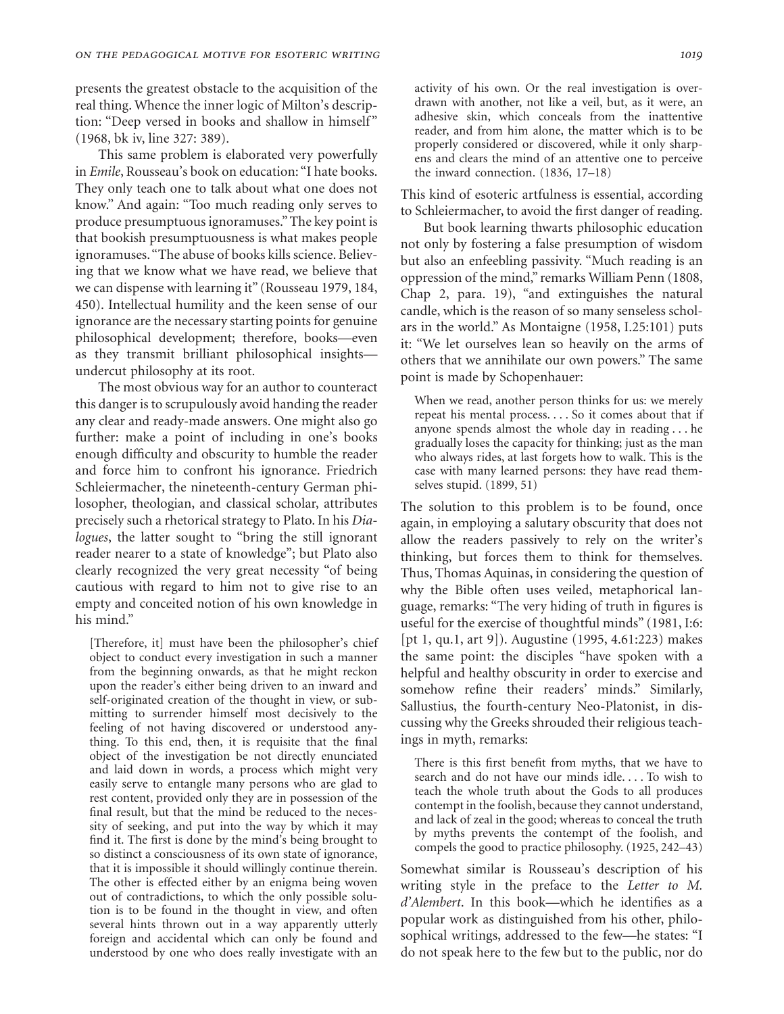presents the greatest obstacle to the acquisition of the real thing. Whence the inner logic of Milton's description: "Deep versed in books and shallow in himself" (1968, bk iv, line 327: 389).

This same problem is elaborated very powerfully in *Emile*, Rousseau's book on education: "I hate books. They only teach one to talk about what one does not know." And again: "Too much reading only serves to produce presumptuous ignoramuses." The key point is that bookish presumptuousness is what makes people ignoramuses."The abuse of books kills science. Believing that we know what we have read, we believe that we can dispense with learning it" (Rousseau 1979, 184, 450). Intellectual humility and the keen sense of our ignorance are the necessary starting points for genuine philosophical development; therefore, books—even as they transmit brilliant philosophical insights undercut philosophy at its root.

The most obvious way for an author to counteract this danger is to scrupulously avoid handing the reader any clear and ready-made answers. One might also go further: make a point of including in one's books enough difficulty and obscurity to humble the reader and force him to confront his ignorance. Friedrich Schleiermacher, the nineteenth-century German philosopher, theologian, and classical scholar, attributes precisely such a rhetorical strategy to Plato. In his *Dialogues*, the latter sought to "bring the still ignorant reader nearer to a state of knowledge"; but Plato also clearly recognized the very great necessity "of being cautious with regard to him not to give rise to an empty and conceited notion of his own knowledge in his mind."

[Therefore, it] must have been the philosopher's chief object to conduct every investigation in such a manner from the beginning onwards, as that he might reckon upon the reader's either being driven to an inward and self-originated creation of the thought in view, or submitting to surrender himself most decisively to the feeling of not having discovered or understood anything. To this end, then, it is requisite that the final object of the investigation be not directly enunciated and laid down in words, a process which might very easily serve to entangle many persons who are glad to rest content, provided only they are in possession of the final result, but that the mind be reduced to the necessity of seeking, and put into the way by which it may find it. The first is done by the mind's being brought to so distinct a consciousness of its own state of ignorance, that it is impossible it should willingly continue therein. The other is effected either by an enigma being woven out of contradictions, to which the only possible solution is to be found in the thought in view, and often several hints thrown out in a way apparently utterly foreign and accidental which can only be found and understood by one who does really investigate with an

activity of his own. Or the real investigation is overdrawn with another, not like a veil, but, as it were, an adhesive skin, which conceals from the inattentive reader, and from him alone, the matter which is to be properly considered or discovered, while it only sharpens and clears the mind of an attentive one to perceive the inward connection. (1836, 17–18)

This kind of esoteric artfulness is essential, according to Schleiermacher, to avoid the first danger of reading.

But book learning thwarts philosophic education not only by fostering a false presumption of wisdom but also an enfeebling passivity. "Much reading is an oppression of the mind," remarks William Penn (1808, Chap 2, para. 19), "and extinguishes the natural candle, which is the reason of so many senseless scholars in the world." As Montaigne (1958, I.25:101) puts it: "We let ourselves lean so heavily on the arms of others that we annihilate our own powers." The same point is made by Schopenhauer:

When we read, another person thinks for us: we merely repeat his mental process. . . . So it comes about that if anyone spends almost the whole day in reading . . . he gradually loses the capacity for thinking; just as the man who always rides, at last forgets how to walk. This is the case with many learned persons: they have read themselves stupid. (1899, 51)

The solution to this problem is to be found, once again, in employing a salutary obscurity that does not allow the readers passively to rely on the writer's thinking, but forces them to think for themselves. Thus, Thomas Aquinas, in considering the question of why the Bible often uses veiled, metaphorical language, remarks: "The very hiding of truth in figures is useful for the exercise of thoughtful minds" (1981, I:6: [pt 1, qu.1, art 9]). Augustine (1995, 4.61:223) makes the same point: the disciples "have spoken with a helpful and healthy obscurity in order to exercise and somehow refine their readers' minds." Similarly, Sallustius, the fourth-century Neo-Platonist, in discussing why the Greeks shrouded their religious teachings in myth, remarks:

There is this first benefit from myths, that we have to search and do not have our minds idle. . . . To wish to teach the whole truth about the Gods to all produces contempt in the foolish, because they cannot understand, and lack of zeal in the good; whereas to conceal the truth by myths prevents the contempt of the foolish, and compels the good to practice philosophy. (1925, 242–43)

Somewhat similar is Rousseau's description of his writing style in the preface to the *Letter to M. d'Alembert*. In this book—which he identifies as a popular work as distinguished from his other, philosophical writings, addressed to the few—he states: "I do not speak here to the few but to the public, nor do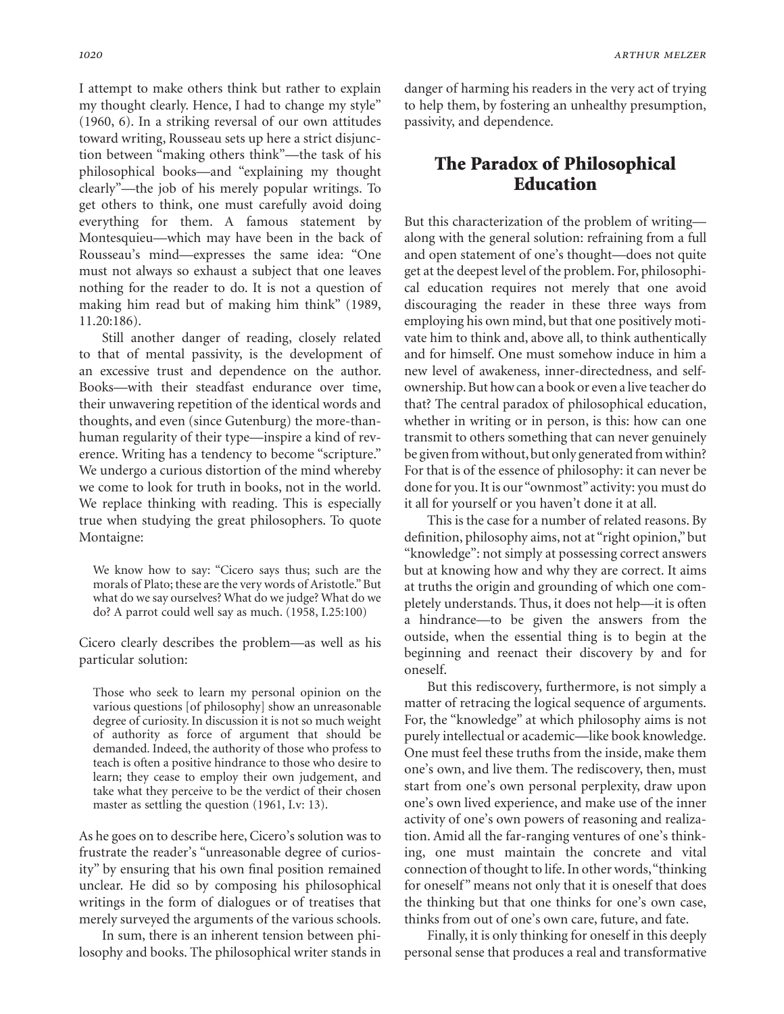I attempt to make others think but rather to explain my thought clearly. Hence, I had to change my style" (1960, 6). In a striking reversal of our own attitudes toward writing, Rousseau sets up here a strict disjunction between "making others think"—the task of his philosophical books—and "explaining my thought clearly"—the job of his merely popular writings. To get others to think, one must carefully avoid doing everything for them. A famous statement by Montesquieu—which may have been in the back of Rousseau's mind—expresses the same idea: "One must not always so exhaust a subject that one leaves nothing for the reader to do. It is not a question of making him read but of making him think" (1989, 11.20:186).

Still another danger of reading, closely related to that of mental passivity, is the development of an excessive trust and dependence on the author. Books—with their steadfast endurance over time, their unwavering repetition of the identical words and thoughts, and even (since Gutenburg) the more-thanhuman regularity of their type—inspire a kind of reverence. Writing has a tendency to become "scripture." We undergo a curious distortion of the mind whereby we come to look for truth in books, not in the world. We replace thinking with reading. This is especially true when studying the great philosophers. To quote Montaigne:

We know how to say: "Cicero says thus; such are the morals of Plato; these are the very words of Aristotle." But what do we say ourselves? What do we judge? What do we do? A parrot could well say as much. (1958, I.25:100)

Cicero clearly describes the problem—as well as his particular solution:

Those who seek to learn my personal opinion on the various questions [of philosophy] show an unreasonable degree of curiosity. In discussion it is not so much weight of authority as force of argument that should be demanded. Indeed, the authority of those who profess to teach is often a positive hindrance to those who desire to learn; they cease to employ their own judgement, and take what they perceive to be the verdict of their chosen master as settling the question (1961, I.v: 13).

As he goes on to describe here, Cicero's solution was to frustrate the reader's "unreasonable degree of curiosity" by ensuring that his own final position remained unclear. He did so by composing his philosophical writings in the form of dialogues or of treatises that merely surveyed the arguments of the various schools.

In sum, there is an inherent tension between philosophy and books. The philosophical writer stands in danger of harming his readers in the very act of trying to help them, by fostering an unhealthy presumption, passivity, and dependence.

# **The Paradox of Philosophical Education**

But this characterization of the problem of writing along with the general solution: refraining from a full and open statement of one's thought—does not quite get at the deepest level of the problem. For, philosophical education requires not merely that one avoid discouraging the reader in these three ways from employing his own mind, but that one positively motivate him to think and, above all, to think authentically and for himself. One must somehow induce in him a new level of awakeness, inner-directedness, and selfownership. But how can a book or even a live teacher do that? The central paradox of philosophical education, whether in writing or in person, is this: how can one transmit to others something that can never genuinely be given from without, but only generated from within? For that is of the essence of philosophy: it can never be done for you. It is our "ownmost" activity: you must do it all for yourself or you haven't done it at all.

This is the case for a number of related reasons. By definition, philosophy aims, not at "right opinion," but "knowledge": not simply at possessing correct answers but at knowing how and why they are correct. It aims at truths the origin and grounding of which one completely understands. Thus, it does not help—it is often a hindrance—to be given the answers from the outside, when the essential thing is to begin at the beginning and reenact their discovery by and for oneself.

But this rediscovery, furthermore, is not simply a matter of retracing the logical sequence of arguments. For, the "knowledge" at which philosophy aims is not purely intellectual or academic—like book knowledge. One must feel these truths from the inside, make them one's own, and live them. The rediscovery, then, must start from one's own personal perplexity, draw upon one's own lived experience, and make use of the inner activity of one's own powers of reasoning and realization. Amid all the far-ranging ventures of one's thinking, one must maintain the concrete and vital connection of thought to life. In other words,"thinking for oneself" means not only that it is oneself that does the thinking but that one thinks for one's own case, thinks from out of one's own care, future, and fate.

Finally, it is only thinking for oneself in this deeply personal sense that produces a real and transformative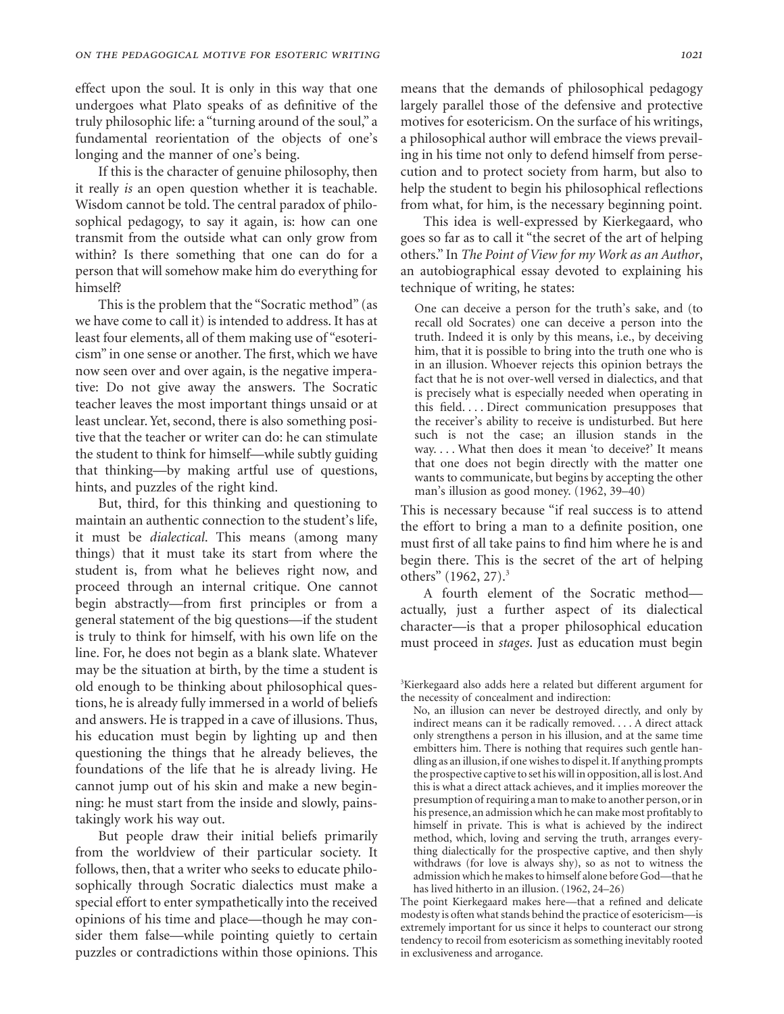effect upon the soul. It is only in this way that one undergoes what Plato speaks of as definitive of the truly philosophic life: a "turning around of the soul," a fundamental reorientation of the objects of one's longing and the manner of one's being.

If this is the character of genuine philosophy, then it really *is* an open question whether it is teachable. Wisdom cannot be told. The central paradox of philosophical pedagogy, to say it again, is: how can one transmit from the outside what can only grow from within? Is there something that one can do for a person that will somehow make him do everything for himself?

This is the problem that the "Socratic method" (as we have come to call it) is intended to address. It has at least four elements, all of them making use of "esotericism" in one sense or another. The first, which we have now seen over and over again, is the negative imperative: Do not give away the answers. The Socratic teacher leaves the most important things unsaid or at least unclear. Yet, second, there is also something positive that the teacher or writer can do: he can stimulate the student to think for himself—while subtly guiding that thinking—by making artful use of questions, hints, and puzzles of the right kind.

But, third, for this thinking and questioning to maintain an authentic connection to the student's life, it must be *dialectical*. This means (among many things) that it must take its start from where the student is, from what he believes right now, and proceed through an internal critique. One cannot begin abstractly—from first principles or from a general statement of the big questions—if the student is truly to think for himself, with his own life on the line. For, he does not begin as a blank slate. Whatever may be the situation at birth, by the time a student is old enough to be thinking about philosophical questions, he is already fully immersed in a world of beliefs and answers. He is trapped in a cave of illusions. Thus, his education must begin by lighting up and then questioning the things that he already believes, the foundations of the life that he is already living. He cannot jump out of his skin and make a new beginning: he must start from the inside and slowly, painstakingly work his way out.

But people draw their initial beliefs primarily from the worldview of their particular society. It follows, then, that a writer who seeks to educate philosophically through Socratic dialectics must make a special effort to enter sympathetically into the received opinions of his time and place—though he may consider them false—while pointing quietly to certain puzzles or contradictions within those opinions. This

means that the demands of philosophical pedagogy largely parallel those of the defensive and protective motives for esotericism. On the surface of his writings, a philosophical author will embrace the views prevailing in his time not only to defend himself from persecution and to protect society from harm, but also to help the student to begin his philosophical reflections from what, for him, is the necessary beginning point.

This idea is well-expressed by Kierkegaard, who goes so far as to call it "the secret of the art of helping others." In *The Point of View for my Work as an Author*, an autobiographical essay devoted to explaining his technique of writing, he states:

One can deceive a person for the truth's sake, and (to recall old Socrates) one can deceive a person into the truth. Indeed it is only by this means, i.e., by deceiving him, that it is possible to bring into the truth one who is in an illusion. Whoever rejects this opinion betrays the fact that he is not over-well versed in dialectics, and that is precisely what is especially needed when operating in this field. . . . Direct communication presupposes that the receiver's ability to receive is undisturbed. But here such is not the case; an illusion stands in the way. . . . What then does it mean 'to deceive?' It means that one does not begin directly with the matter one wants to communicate, but begins by accepting the other man's illusion as good money. (1962, 39–40)

This is necessary because "if real success is to attend the effort to bring a man to a definite position, one must first of all take pains to find him where he is and begin there. This is the secret of the art of helping others" (1962, 27).<sup>3</sup>

A fourth element of the Socratic method actually, just a further aspect of its dialectical character—is that a proper philosophical education must proceed in *stages*. Just as education must begin

The point Kierkegaard makes here—that a refined and delicate modesty is often what stands behind the practice of esotericism—is extremely important for us since it helps to counteract our strong tendency to recoil from esotericism as something inevitably rooted in exclusiveness and arrogance.

<sup>&</sup>lt;sup>3</sup>Kierkegaard also adds here a related but different argument for the necessity of concealment and indirection:

No, an illusion can never be destroyed directly, and only by indirect means can it be radically removed. . . . A direct attack only strengthens a person in his illusion, and at the same time embitters him. There is nothing that requires such gentle handling as an illusion, if one wishes to dispel it. If anything prompts the prospective captive to set his will in opposition, all is lost.And this is what a direct attack achieves, and it implies moreover the presumption of requiring a man to make to another person, or in his presence, an admission which he can make most profitably to himself in private. This is what is achieved by the indirect method, which, loving and serving the truth, arranges everything dialectically for the prospective captive, and then shyly withdraws (for love is always shy), so as not to witness the admission which he makes to himself alone before God—that he has lived hitherto in an illusion. (1962, 24–26)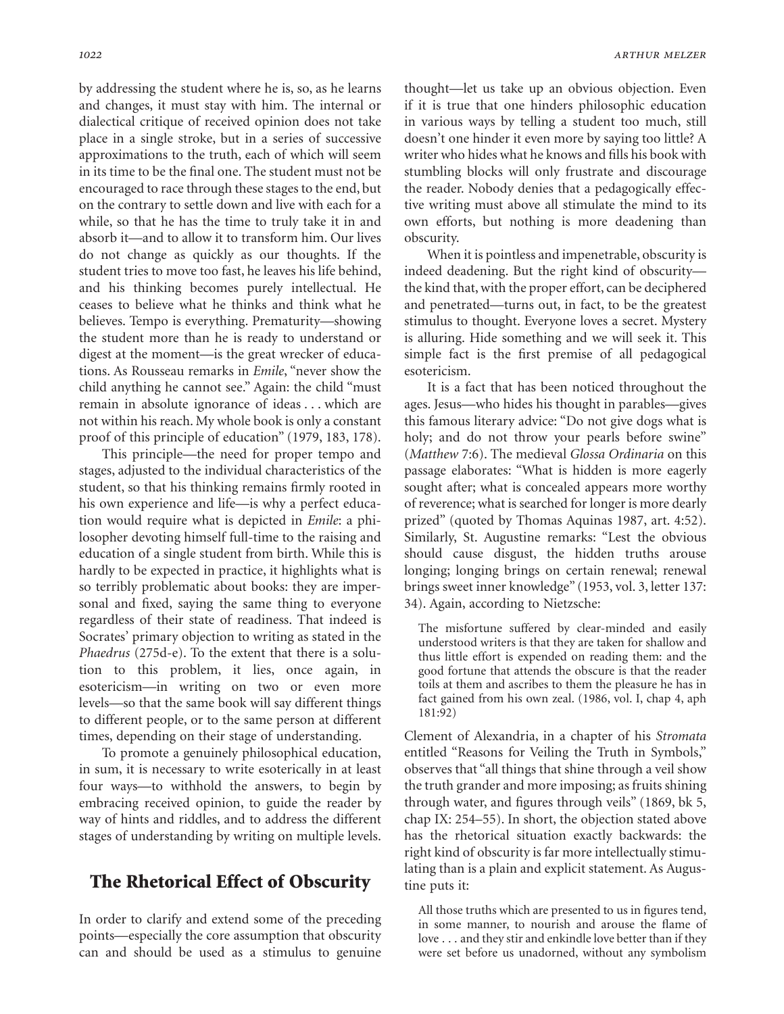by addressing the student where he is, so, as he learns and changes, it must stay with him. The internal or dialectical critique of received opinion does not take place in a single stroke, but in a series of successive approximations to the truth, each of which will seem in its time to be the final one. The student must not be encouraged to race through these stages to the end, but on the contrary to settle down and live with each for a while, so that he has the time to truly take it in and absorb it—and to allow it to transform him. Our lives do not change as quickly as our thoughts. If the student tries to move too fast, he leaves his life behind, and his thinking becomes purely intellectual. He ceases to believe what he thinks and think what he believes. Tempo is everything. Prematurity—showing the student more than he is ready to understand or digest at the moment—is the great wrecker of educations. As Rousseau remarks in *Emile*, "never show the child anything he cannot see." Again: the child "must remain in absolute ignorance of ideas . . . which are not within his reach. My whole book is only a constant proof of this principle of education" (1979, 183, 178).

This principle—the need for proper tempo and stages, adjusted to the individual characteristics of the student, so that his thinking remains firmly rooted in his own experience and life—is why a perfect education would require what is depicted in *Emile*: a philosopher devoting himself full-time to the raising and education of a single student from birth. While this is hardly to be expected in practice, it highlights what is so terribly problematic about books: they are impersonal and fixed, saying the same thing to everyone regardless of their state of readiness. That indeed is Socrates' primary objection to writing as stated in the *Phaedrus* (275d-e). To the extent that there is a solution to this problem, it lies, once again, in esotericism—in writing on two or even more levels—so that the same book will say different things to different people, or to the same person at different times, depending on their stage of understanding.

To promote a genuinely philosophical education, in sum, it is necessary to write esoterically in at least four ways—to withhold the answers, to begin by embracing received opinion, to guide the reader by way of hints and riddles, and to address the different stages of understanding by writing on multiple levels.

# **The Rhetorical Effect of Obscurity**

In order to clarify and extend some of the preceding points—especially the core assumption that obscurity can and should be used as a stimulus to genuine

thought—let us take up an obvious objection. Even if it is true that one hinders philosophic education in various ways by telling a student too much, still doesn't one hinder it even more by saying too little? A writer who hides what he knows and fills his book with stumbling blocks will only frustrate and discourage the reader. Nobody denies that a pedagogically effective writing must above all stimulate the mind to its own efforts, but nothing is more deadening than obscurity.

When it is pointless and impenetrable, obscurity is indeed deadening. But the right kind of obscurity the kind that, with the proper effort, can be deciphered and penetrated—turns out, in fact, to be the greatest stimulus to thought. Everyone loves a secret. Mystery is alluring. Hide something and we will seek it. This simple fact is the first premise of all pedagogical esotericism.

It is a fact that has been noticed throughout the ages. Jesus—who hides his thought in parables—gives this famous literary advice: "Do not give dogs what is holy; and do not throw your pearls before swine" (*Matthew* 7:6). The medieval *Glossa Ordinaria* on this passage elaborates: "What is hidden is more eagerly sought after; what is concealed appears more worthy of reverence; what is searched for longer is more dearly prized" (quoted by Thomas Aquinas 1987, art. 4:52). Similarly, St. Augustine remarks: "Lest the obvious should cause disgust, the hidden truths arouse longing; longing brings on certain renewal; renewal brings sweet inner knowledge" (1953, vol. 3, letter 137: 34). Again, according to Nietzsche:

The misfortune suffered by clear-minded and easily understood writers is that they are taken for shallow and thus little effort is expended on reading them: and the good fortune that attends the obscure is that the reader toils at them and ascribes to them the pleasure he has in fact gained from his own zeal. (1986, vol. I, chap 4, aph 181:92)

Clement of Alexandria, in a chapter of his *Stromata* entitled "Reasons for Veiling the Truth in Symbols," observes that "all things that shine through a veil show the truth grander and more imposing; as fruits shining through water, and figures through veils" (1869, bk 5, chap IX: 254–55). In short, the objection stated above has the rhetorical situation exactly backwards: the right kind of obscurity is far more intellectually stimulating than is a plain and explicit statement. As Augustine puts it:

All those truths which are presented to us in figures tend, in some manner, to nourish and arouse the flame of love . . . and they stir and enkindle love better than if they were set before us unadorned, without any symbolism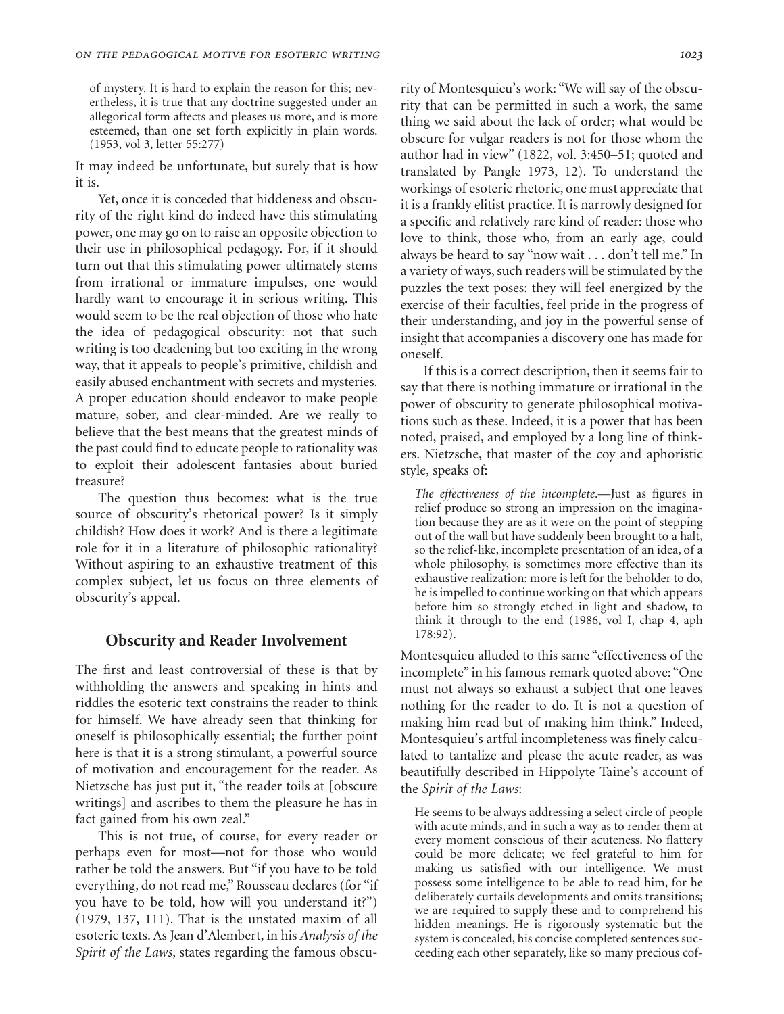of mystery. It is hard to explain the reason for this; nevertheless, it is true that any doctrine suggested under an allegorical form affects and pleases us more, and is more esteemed, than one set forth explicitly in plain words. (1953, vol 3, letter 55:277)

It may indeed be unfortunate, but surely that is how it is.

Yet, once it is conceded that hiddeness and obscurity of the right kind do indeed have this stimulating power, one may go on to raise an opposite objection to their use in philosophical pedagogy. For, if it should turn out that this stimulating power ultimately stems from irrational or immature impulses, one would hardly want to encourage it in serious writing. This would seem to be the real objection of those who hate the idea of pedagogical obscurity: not that such writing is too deadening but too exciting in the wrong way, that it appeals to people's primitive, childish and easily abused enchantment with secrets and mysteries. A proper education should endeavor to make people mature, sober, and clear-minded. Are we really to believe that the best means that the greatest minds of the past could find to educate people to rationality was to exploit their adolescent fantasies about buried treasure?

The question thus becomes: what is the true source of obscurity's rhetorical power? Is it simply childish? How does it work? And is there a legitimate role for it in a literature of philosophic rationality? Without aspiring to an exhaustive treatment of this complex subject, let us focus on three elements of obscurity's appeal.

#### **Obscurity and Reader Involvement**

The first and least controversial of these is that by withholding the answers and speaking in hints and riddles the esoteric text constrains the reader to think for himself. We have already seen that thinking for oneself is philosophically essential; the further point here is that it is a strong stimulant, a powerful source of motivation and encouragement for the reader. As Nietzsche has just put it, "the reader toils at [obscure writings] and ascribes to them the pleasure he has in fact gained from his own zeal."

This is not true, of course, for every reader or perhaps even for most—not for those who would rather be told the answers. But "if you have to be told everything, do not read me," Rousseau declares (for "if you have to be told, how will you understand it?") (1979, 137, 111). That is the unstated maxim of all esoteric texts. As Jean d'Alembert, in his *Analysis of the Spirit of the Laws*, states regarding the famous obscurity of Montesquieu's work: "We will say of the obscurity that can be permitted in such a work, the same thing we said about the lack of order; what would be obscure for vulgar readers is not for those whom the author had in view" (1822, vol. 3:450–51; quoted and translated by Pangle 1973, 12). To understand the workings of esoteric rhetoric, one must appreciate that it is a frankly elitist practice. It is narrowly designed for a specific and relatively rare kind of reader: those who love to think, those who, from an early age, could always be heard to say "now wait . . . don't tell me." In a variety of ways, such readers will be stimulated by the puzzles the text poses: they will feel energized by the exercise of their faculties, feel pride in the progress of their understanding, and joy in the powerful sense of insight that accompanies a discovery one has made for oneself.

If this is a correct description, then it seems fair to say that there is nothing immature or irrational in the power of obscurity to generate philosophical motivations such as these. Indeed, it is a power that has been noted, praised, and employed by a long line of thinkers. Nietzsche, that master of the coy and aphoristic style, speaks of:

*The effectiveness of the incomplete*.—Just as figures in relief produce so strong an impression on the imagination because they are as it were on the point of stepping out of the wall but have suddenly been brought to a halt, so the relief-like, incomplete presentation of an idea, of a whole philosophy, is sometimes more effective than its exhaustive realization: more is left for the beholder to do, he is impelled to continue working on that which appears before him so strongly etched in light and shadow, to think it through to the end (1986, vol I, chap 4, aph 178:92).

Montesquieu alluded to this same "effectiveness of the incomplete" in his famous remark quoted above: "One must not always so exhaust a subject that one leaves nothing for the reader to do. It is not a question of making him read but of making him think." Indeed, Montesquieu's artful incompleteness was finely calculated to tantalize and please the acute reader, as was beautifully described in Hippolyte Taine's account of the *Spirit of the Laws*:

He seems to be always addressing a select circle of people with acute minds, and in such a way as to render them at every moment conscious of their acuteness. No flattery could be more delicate; we feel grateful to him for making us satisfied with our intelligence. We must possess some intelligence to be able to read him, for he deliberately curtails developments and omits transitions; we are required to supply these and to comprehend his hidden meanings. He is rigorously systematic but the system is concealed, his concise completed sentences succeeding each other separately, like so many precious cof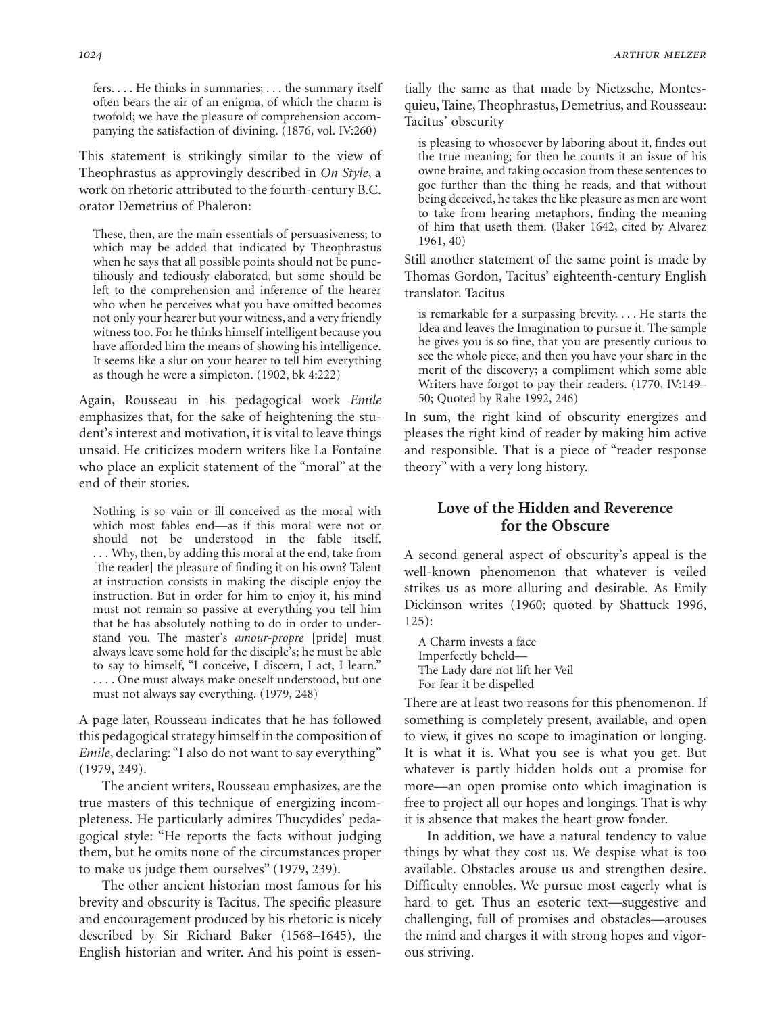fers. . . . He thinks in summaries; . . . the summary itself often bears the air of an enigma, of which the charm is twofold; we have the pleasure of comprehension accompanying the satisfaction of divining. (1876, vol. IV:260)

This statement is strikingly similar to the view of Theophrastus as approvingly described in *On Style*, a work on rhetoric attributed to the fourth-century B.C. orator Demetrius of Phaleron:

These, then, are the main essentials of persuasiveness; to which may be added that indicated by Theophrastus when he says that all possible points should not be punctiliously and tediously elaborated, but some should be left to the comprehension and inference of the hearer who when he perceives what you have omitted becomes not only your hearer but your witness, and a very friendly witness too. For he thinks himself intelligent because you have afforded him the means of showing his intelligence. It seems like a slur on your hearer to tell him everything as though he were a simpleton. (1902, bk 4:222)

Again, Rousseau in his pedagogical work *Emile* emphasizes that, for the sake of heightening the student's interest and motivation, it is vital to leave things unsaid. He criticizes modern writers like La Fontaine who place an explicit statement of the "moral" at the end of their stories.

Nothing is so vain or ill conceived as the moral with which most fables end—as if this moral were not or should not be understood in the fable itself. . . . Why, then, by adding this moral at the end, take from [the reader] the pleasure of finding it on his own? Talent at instruction consists in making the disciple enjoy the instruction. But in order for him to enjoy it, his mind must not remain so passive at everything you tell him that he has absolutely nothing to do in order to understand you. The master's *amour-propre* [pride] must always leave some hold for the disciple's; he must be able to say to himself, "I conceive, I discern, I act, I learn." . . . . One must always make oneself understood, but one must not always say everything. (1979, 248)

A page later, Rousseau indicates that he has followed this pedagogical strategy himself in the composition of *Emile*, declaring: "I also do not want to say everything" (1979, 249).

The ancient writers, Rousseau emphasizes, are the true masters of this technique of energizing incompleteness. He particularly admires Thucydides' pedagogical style: "He reports the facts without judging them, but he omits none of the circumstances proper to make us judge them ourselves" (1979, 239).

The other ancient historian most famous for his brevity and obscurity is Tacitus. The specific pleasure and encouragement produced by his rhetoric is nicely described by Sir Richard Baker (1568–1645), the English historian and writer. And his point is essentially the same as that made by Nietzsche, Montesquieu, Taine, Theophrastus, Demetrius, and Rousseau: Tacitus' obscurity

is pleasing to whosoever by laboring about it, findes out the true meaning; for then he counts it an issue of his owne braine, and taking occasion from these sentences to goe further than the thing he reads, and that without being deceived, he takes the like pleasure as men are wont to take from hearing metaphors, finding the meaning of him that useth them. (Baker 1642, cited by Alvarez 1961, 40)

Still another statement of the same point is made by Thomas Gordon, Tacitus' eighteenth-century English translator. Tacitus

is remarkable for a surpassing brevity. . . . He starts the Idea and leaves the Imagination to pursue it. The sample he gives you is so fine, that you are presently curious to see the whole piece, and then you have your share in the merit of the discovery; a compliment which some able Writers have forgot to pay their readers. (1770, IV:149– 50; Quoted by Rahe 1992, 246)

In sum, the right kind of obscurity energizes and pleases the right kind of reader by making him active and responsible. That is a piece of "reader response theory" with a very long history.

## **Love of the Hidden and Reverence for the Obscure**

A second general aspect of obscurity's appeal is the well-known phenomenon that whatever is veiled strikes us as more alluring and desirable. As Emily Dickinson writes (1960; quoted by Shattuck 1996, 125):

A Charm invests a face Imperfectly beheld— The Lady dare not lift her Veil For fear it be dispelled

There are at least two reasons for this phenomenon. If something is completely present, available, and open to view, it gives no scope to imagination or longing. It is what it is. What you see is what you get. But whatever is partly hidden holds out a promise for more—an open promise onto which imagination is free to project all our hopes and longings. That is why it is absence that makes the heart grow fonder.

In addition, we have a natural tendency to value things by what they cost us. We despise what is too available. Obstacles arouse us and strengthen desire. Difficulty ennobles. We pursue most eagerly what is hard to get. Thus an esoteric text—suggestive and challenging, full of promises and obstacles—arouses the mind and charges it with strong hopes and vigorous striving.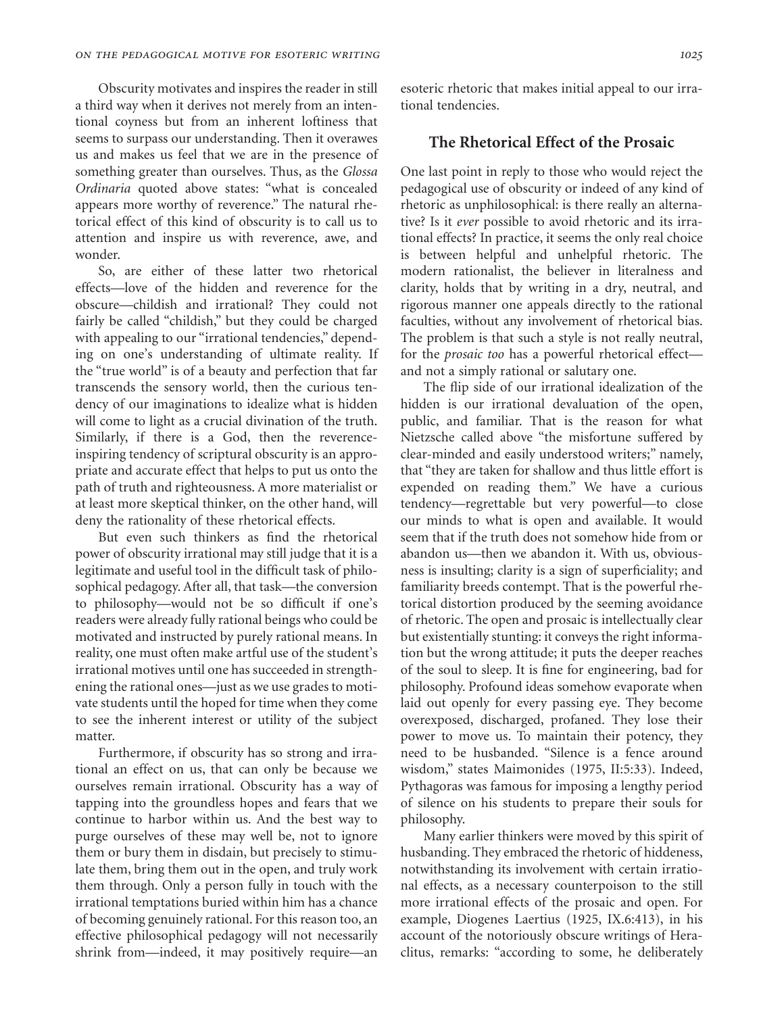Obscurity motivates and inspires the reader in still a third way when it derives not merely from an intentional coyness but from an inherent loftiness that seems to surpass our understanding. Then it overawes us and makes us feel that we are in the presence of something greater than ourselves. Thus, as the *Glossa Ordinaria* quoted above states: "what is concealed appears more worthy of reverence." The natural rhetorical effect of this kind of obscurity is to call us to attention and inspire us with reverence, awe, and wonder.

So, are either of these latter two rhetorical effects—love of the hidden and reverence for the obscure—childish and irrational? They could not fairly be called "childish," but they could be charged with appealing to our "irrational tendencies," depending on one's understanding of ultimate reality. If the "true world" is of a beauty and perfection that far transcends the sensory world, then the curious tendency of our imaginations to idealize what is hidden will come to light as a crucial divination of the truth. Similarly, if there is a God, then the reverenceinspiring tendency of scriptural obscurity is an appropriate and accurate effect that helps to put us onto the path of truth and righteousness. A more materialist or at least more skeptical thinker, on the other hand, will deny the rationality of these rhetorical effects.

But even such thinkers as find the rhetorical power of obscurity irrational may still judge that it is a legitimate and useful tool in the difficult task of philosophical pedagogy. After all, that task—the conversion to philosophy—would not be so difficult if one's readers were already fully rational beings who could be motivated and instructed by purely rational means. In reality, one must often make artful use of the student's irrational motives until one has succeeded in strengthening the rational ones—just as we use grades to motivate students until the hoped for time when they come to see the inherent interest or utility of the subject matter.

Furthermore, if obscurity has so strong and irrational an effect on us, that can only be because we ourselves remain irrational. Obscurity has a way of tapping into the groundless hopes and fears that we continue to harbor within us. And the best way to purge ourselves of these may well be, not to ignore them or bury them in disdain, but precisely to stimulate them, bring them out in the open, and truly work them through. Only a person fully in touch with the irrational temptations buried within him has a chance of becoming genuinely rational. For this reason too, an effective philosophical pedagogy will not necessarily shrink from—indeed, it may positively require—an

esoteric rhetoric that makes initial appeal to our irrational tendencies.

#### **The Rhetorical Effect of the Prosaic**

One last point in reply to those who would reject the pedagogical use of obscurity or indeed of any kind of rhetoric as unphilosophical: is there really an alternative? Is it *ever* possible to avoid rhetoric and its irrational effects? In practice, it seems the only real choice is between helpful and unhelpful rhetoric. The modern rationalist, the believer in literalness and clarity, holds that by writing in a dry, neutral, and rigorous manner one appeals directly to the rational faculties, without any involvement of rhetorical bias. The problem is that such a style is not really neutral, for the *prosaic too* has a powerful rhetorical effect and not a simply rational or salutary one.

The flip side of our irrational idealization of the hidden is our irrational devaluation of the open, public, and familiar. That is the reason for what Nietzsche called above "the misfortune suffered by clear-minded and easily understood writers;" namely, that "they are taken for shallow and thus little effort is expended on reading them." We have a curious tendency—regrettable but very powerful—to close our minds to what is open and available. It would seem that if the truth does not somehow hide from or abandon us—then we abandon it. With us, obviousness is insulting; clarity is a sign of superficiality; and familiarity breeds contempt. That is the powerful rhetorical distortion produced by the seeming avoidance of rhetoric. The open and prosaic is intellectually clear but existentially stunting: it conveys the right information but the wrong attitude; it puts the deeper reaches of the soul to sleep. It is fine for engineering, bad for philosophy. Profound ideas somehow evaporate when laid out openly for every passing eye. They become overexposed, discharged, profaned. They lose their power to move us. To maintain their potency, they need to be husbanded. "Silence is a fence around wisdom," states Maimonides (1975, II:5:33). Indeed, Pythagoras was famous for imposing a lengthy period of silence on his students to prepare their souls for philosophy.

Many earlier thinkers were moved by this spirit of husbanding. They embraced the rhetoric of hiddeness, notwithstanding its involvement with certain irrational effects, as a necessary counterpoison to the still more irrational effects of the prosaic and open. For example, Diogenes Laertius (1925, IX.6:413), in his account of the notoriously obscure writings of Heraclitus, remarks: "according to some, he deliberately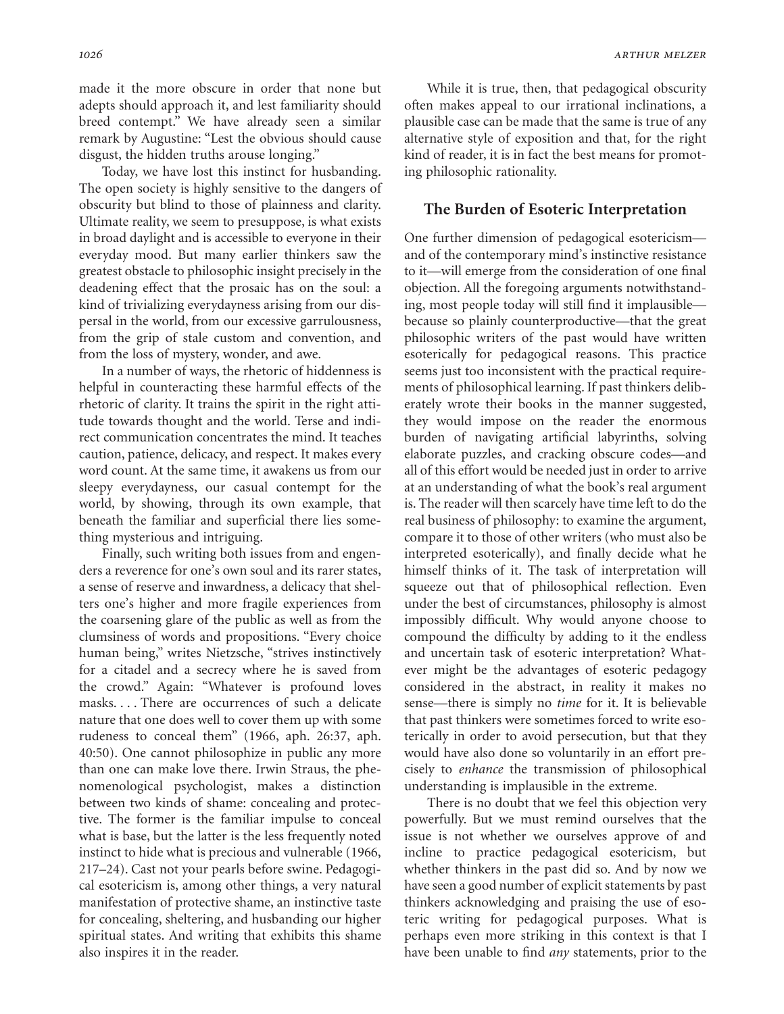made it the more obscure in order that none but adepts should approach it, and lest familiarity should breed contempt." We have already seen a similar remark by Augustine: "Lest the obvious should cause disgust, the hidden truths arouse longing."

Today, we have lost this instinct for husbanding. The open society is highly sensitive to the dangers of obscurity but blind to those of plainness and clarity. Ultimate reality, we seem to presuppose, is what exists in broad daylight and is accessible to everyone in their everyday mood. But many earlier thinkers saw the greatest obstacle to philosophic insight precisely in the deadening effect that the prosaic has on the soul: a kind of trivializing everydayness arising from our dispersal in the world, from our excessive garrulousness, from the grip of stale custom and convention, and from the loss of mystery, wonder, and awe.

In a number of ways, the rhetoric of hiddenness is helpful in counteracting these harmful effects of the rhetoric of clarity. It trains the spirit in the right attitude towards thought and the world. Terse and indirect communication concentrates the mind. It teaches caution, patience, delicacy, and respect. It makes every word count. At the same time, it awakens us from our sleepy everydayness, our casual contempt for the world, by showing, through its own example, that beneath the familiar and superficial there lies something mysterious and intriguing.

Finally, such writing both issues from and engenders a reverence for one's own soul and its rarer states, a sense of reserve and inwardness, a delicacy that shelters one's higher and more fragile experiences from the coarsening glare of the public as well as from the clumsiness of words and propositions. "Every choice human being," writes Nietzsche, "strives instinctively for a citadel and a secrecy where he is saved from the crowd." Again: "Whatever is profound loves masks. . . . There are occurrences of such a delicate nature that one does well to cover them up with some rudeness to conceal them" (1966, aph. 26:37, aph. 40:50). One cannot philosophize in public any more than one can make love there. Irwin Straus, the phenomenological psychologist, makes a distinction between two kinds of shame: concealing and protective. The former is the familiar impulse to conceal what is base, but the latter is the less frequently noted instinct to hide what is precious and vulnerable (1966, 217–24). Cast not your pearls before swine. Pedagogical esotericism is, among other things, a very natural manifestation of protective shame, an instinctive taste for concealing, sheltering, and husbanding our higher spiritual states. And writing that exhibits this shame also inspires it in the reader.

While it is true, then, that pedagogical obscurity often makes appeal to our irrational inclinations, a plausible case can be made that the same is true of any alternative style of exposition and that, for the right kind of reader, it is in fact the best means for promoting philosophic rationality.

#### **The Burden of Esoteric Interpretation**

One further dimension of pedagogical esotericism and of the contemporary mind's instinctive resistance to it—will emerge from the consideration of one final objection. All the foregoing arguments notwithstanding, most people today will still find it implausible because so plainly counterproductive—that the great philosophic writers of the past would have written esoterically for pedagogical reasons. This practice seems just too inconsistent with the practical requirements of philosophical learning. If past thinkers deliberately wrote their books in the manner suggested, they would impose on the reader the enormous burden of navigating artificial labyrinths, solving elaborate puzzles, and cracking obscure codes—and all of this effort would be needed just in order to arrive at an understanding of what the book's real argument is. The reader will then scarcely have time left to do the real business of philosophy: to examine the argument, compare it to those of other writers (who must also be interpreted esoterically), and finally decide what he himself thinks of it. The task of interpretation will squeeze out that of philosophical reflection. Even under the best of circumstances, philosophy is almost impossibly difficult. Why would anyone choose to compound the difficulty by adding to it the endless and uncertain task of esoteric interpretation? Whatever might be the advantages of esoteric pedagogy considered in the abstract, in reality it makes no sense—there is simply no *time* for it. It is believable that past thinkers were sometimes forced to write esoterically in order to avoid persecution, but that they would have also done so voluntarily in an effort precisely to *enhance* the transmission of philosophical understanding is implausible in the extreme.

There is no doubt that we feel this objection very powerfully. But we must remind ourselves that the issue is not whether we ourselves approve of and incline to practice pedagogical esotericism, but whether thinkers in the past did so. And by now we have seen a good number of explicit statements by past thinkers acknowledging and praising the use of esoteric writing for pedagogical purposes. What is perhaps even more striking in this context is that I have been unable to find *any* statements, prior to the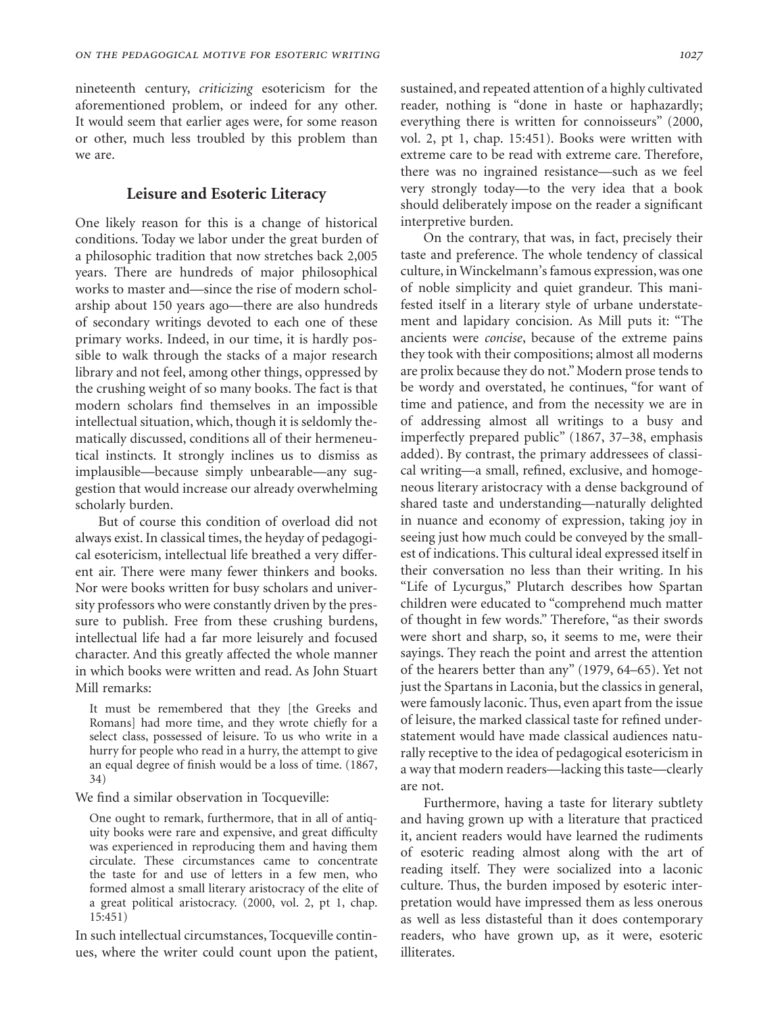nineteenth century, *criticizing* esotericism for the aforementioned problem, or indeed for any other. It would seem that earlier ages were, for some reason or other, much less troubled by this problem than we are.

#### **Leisure and Esoteric Literacy**

One likely reason for this is a change of historical conditions. Today we labor under the great burden of a philosophic tradition that now stretches back 2,005 years. There are hundreds of major philosophical works to master and—since the rise of modern scholarship about 150 years ago—there are also hundreds of secondary writings devoted to each one of these primary works. Indeed, in our time, it is hardly possible to walk through the stacks of a major research library and not feel, among other things, oppressed by the crushing weight of so many books. The fact is that modern scholars find themselves in an impossible intellectual situation, which, though it is seldomly thematically discussed, conditions all of their hermeneutical instincts. It strongly inclines us to dismiss as implausible—because simply unbearable—any suggestion that would increase our already overwhelming scholarly burden.

But of course this condition of overload did not always exist. In classical times, the heyday of pedagogical esotericism, intellectual life breathed a very different air. There were many fewer thinkers and books. Nor were books written for busy scholars and university professors who were constantly driven by the pressure to publish. Free from these crushing burdens, intellectual life had a far more leisurely and focused character. And this greatly affected the whole manner in which books were written and read. As John Stuart Mill remarks:

It must be remembered that they [the Greeks and Romans] had more time, and they wrote chiefly for a select class, possessed of leisure. To us who write in a hurry for people who read in a hurry, the attempt to give an equal degree of finish would be a loss of time. (1867, 34)

We find a similar observation in Tocqueville:

One ought to remark, furthermore, that in all of antiquity books were rare and expensive, and great difficulty was experienced in reproducing them and having them circulate. These circumstances came to concentrate the taste for and use of letters in a few men, who formed almost a small literary aristocracy of the elite of a great political aristocracy. (2000, vol. 2, pt 1, chap. 15:451)

In such intellectual circumstances, Tocqueville continues, where the writer could count upon the patient, sustained, and repeated attention of a highly cultivated reader, nothing is "done in haste or haphazardly; everything there is written for connoisseurs" (2000, vol. 2, pt 1, chap. 15:451). Books were written with extreme care to be read with extreme care. Therefore, there was no ingrained resistance—such as we feel very strongly today—to the very idea that a book should deliberately impose on the reader a significant interpretive burden.

On the contrary, that was, in fact, precisely their taste and preference. The whole tendency of classical culture, in Winckelmann's famous expression, was one of noble simplicity and quiet grandeur. This manifested itself in a literary style of urbane understatement and lapidary concision. As Mill puts it: "The ancients were *concise*, because of the extreme pains they took with their compositions; almost all moderns are prolix because they do not." Modern prose tends to be wordy and overstated, he continues, "for want of time and patience, and from the necessity we are in of addressing almost all writings to a busy and imperfectly prepared public" (1867, 37–38, emphasis added). By contrast, the primary addressees of classical writing—a small, refined, exclusive, and homogeneous literary aristocracy with a dense background of shared taste and understanding—naturally delighted in nuance and economy of expression, taking joy in seeing just how much could be conveyed by the smallest of indications. This cultural ideal expressed itself in their conversation no less than their writing. In his "Life of Lycurgus," Plutarch describes how Spartan children were educated to "comprehend much matter of thought in few words." Therefore, "as their swords were short and sharp, so, it seems to me, were their sayings. They reach the point and arrest the attention of the hearers better than any" (1979, 64–65). Yet not just the Spartans in Laconia, but the classics in general, were famously laconic. Thus, even apart from the issue of leisure, the marked classical taste for refined understatement would have made classical audiences naturally receptive to the idea of pedagogical esotericism in a way that modern readers—lacking this taste—clearly are not.

Furthermore, having a taste for literary subtlety and having grown up with a literature that practiced it, ancient readers would have learned the rudiments of esoteric reading almost along with the art of reading itself. They were socialized into a laconic culture. Thus, the burden imposed by esoteric interpretation would have impressed them as less onerous as well as less distasteful than it does contemporary readers, who have grown up, as it were, esoteric illiterates.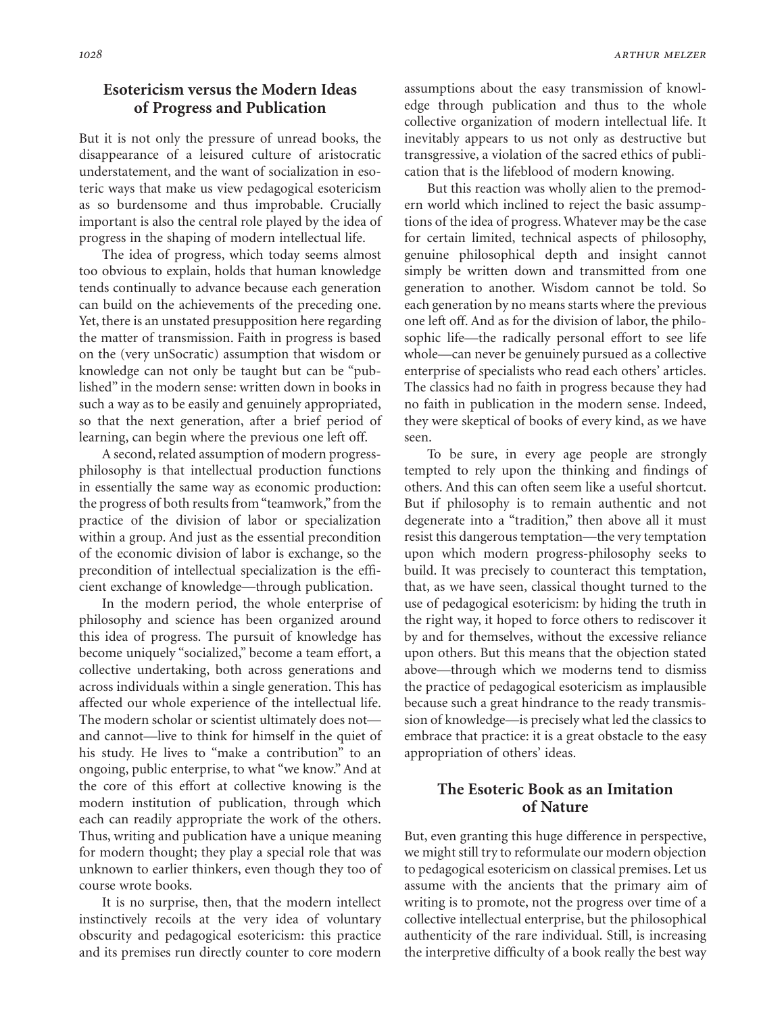## **Esotericism versus the Modern Ideas of Progress and Publication**

But it is not only the pressure of unread books, the disappearance of a leisured culture of aristocratic understatement, and the want of socialization in esoteric ways that make us view pedagogical esotericism as so burdensome and thus improbable. Crucially important is also the central role played by the idea of progress in the shaping of modern intellectual life.

The idea of progress, which today seems almost too obvious to explain, holds that human knowledge tends continually to advance because each generation can build on the achievements of the preceding one. Yet, there is an unstated presupposition here regarding the matter of transmission. Faith in progress is based on the (very unSocratic) assumption that wisdom or knowledge can not only be taught but can be "published" in the modern sense: written down in books in such a way as to be easily and genuinely appropriated, so that the next generation, after a brief period of learning, can begin where the previous one left off.

A second, related assumption of modern progressphilosophy is that intellectual production functions in essentially the same way as economic production: the progress of both results from "teamwork," from the practice of the division of labor or specialization within a group. And just as the essential precondition of the economic division of labor is exchange, so the precondition of intellectual specialization is the efficient exchange of knowledge—through publication.

In the modern period, the whole enterprise of philosophy and science has been organized around this idea of progress. The pursuit of knowledge has become uniquely "socialized," become a team effort, a collective undertaking, both across generations and across individuals within a single generation. This has affected our whole experience of the intellectual life. The modern scholar or scientist ultimately does not and cannot—live to think for himself in the quiet of his study. He lives to "make a contribution" to an ongoing, public enterprise, to what "we know." And at the core of this effort at collective knowing is the modern institution of publication, through which each can readily appropriate the work of the others. Thus, writing and publication have a unique meaning for modern thought; they play a special role that was unknown to earlier thinkers, even though they too of course wrote books.

It is no surprise, then, that the modern intellect instinctively recoils at the very idea of voluntary obscurity and pedagogical esotericism: this practice and its premises run directly counter to core modern assumptions about the easy transmission of knowledge through publication and thus to the whole collective organization of modern intellectual life. It inevitably appears to us not only as destructive but transgressive, a violation of the sacred ethics of publication that is the lifeblood of modern knowing.

But this reaction was wholly alien to the premodern world which inclined to reject the basic assumptions of the idea of progress. Whatever may be the case for certain limited, technical aspects of philosophy, genuine philosophical depth and insight cannot simply be written down and transmitted from one generation to another. Wisdom cannot be told. So each generation by no means starts where the previous one left off. And as for the division of labor, the philosophic life—the radically personal effort to see life whole—can never be genuinely pursued as a collective enterprise of specialists who read each others' articles. The classics had no faith in progress because they had no faith in publication in the modern sense. Indeed, they were skeptical of books of every kind, as we have seen.

To be sure, in every age people are strongly tempted to rely upon the thinking and findings of others. And this can often seem like a useful shortcut. But if philosophy is to remain authentic and not degenerate into a "tradition," then above all it must resist this dangerous temptation—the very temptation upon which modern progress-philosophy seeks to build. It was precisely to counteract this temptation, that, as we have seen, classical thought turned to the use of pedagogical esotericism: by hiding the truth in the right way, it hoped to force others to rediscover it by and for themselves, without the excessive reliance upon others. But this means that the objection stated above—through which we moderns tend to dismiss the practice of pedagogical esotericism as implausible because such a great hindrance to the ready transmission of knowledge—is precisely what led the classics to embrace that practice: it is a great obstacle to the easy appropriation of others' ideas.

## **The Esoteric Book as an Imitation of Nature**

But, even granting this huge difference in perspective, we might still try to reformulate our modern objection to pedagogical esotericism on classical premises. Let us assume with the ancients that the primary aim of writing is to promote, not the progress over time of a collective intellectual enterprise, but the philosophical authenticity of the rare individual. Still, is increasing the interpretive difficulty of a book really the best way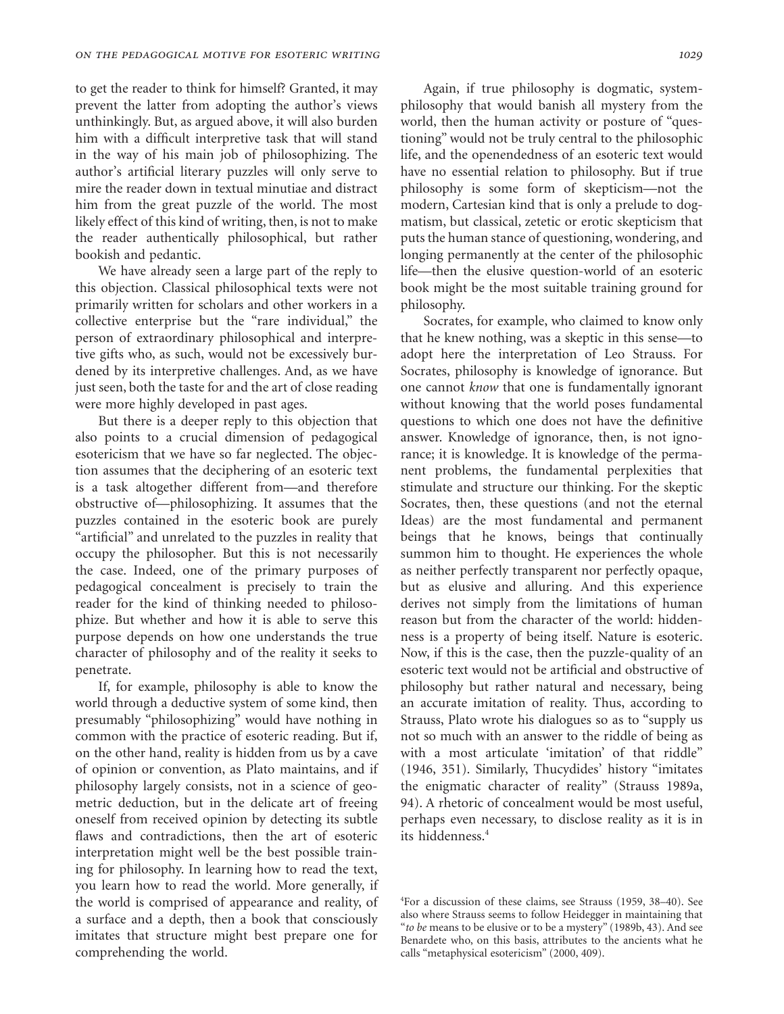to get the reader to think for himself? Granted, it may prevent the latter from adopting the author's views unthinkingly. But, as argued above, it will also burden him with a difficult interpretive task that will stand in the way of his main job of philosophizing. The author's artificial literary puzzles will only serve to mire the reader down in textual minutiae and distract him from the great puzzle of the world. The most likely effect of this kind of writing, then, is not to make the reader authentically philosophical, but rather bookish and pedantic.

We have already seen a large part of the reply to this objection. Classical philosophical texts were not primarily written for scholars and other workers in a collective enterprise but the "rare individual," the person of extraordinary philosophical and interpretive gifts who, as such, would not be excessively burdened by its interpretive challenges. And, as we have just seen, both the taste for and the art of close reading were more highly developed in past ages.

But there is a deeper reply to this objection that also points to a crucial dimension of pedagogical esotericism that we have so far neglected. The objection assumes that the deciphering of an esoteric text is a task altogether different from—and therefore obstructive of—philosophizing. It assumes that the puzzles contained in the esoteric book are purely "artificial" and unrelated to the puzzles in reality that occupy the philosopher. But this is not necessarily the case. Indeed, one of the primary purposes of pedagogical concealment is precisely to train the reader for the kind of thinking needed to philosophize. But whether and how it is able to serve this purpose depends on how one understands the true character of philosophy and of the reality it seeks to penetrate.

If, for example, philosophy is able to know the world through a deductive system of some kind, then presumably "philosophizing" would have nothing in common with the practice of esoteric reading. But if, on the other hand, reality is hidden from us by a cave of opinion or convention, as Plato maintains, and if philosophy largely consists, not in a science of geometric deduction, but in the delicate art of freeing oneself from received opinion by detecting its subtle flaws and contradictions, then the art of esoteric interpretation might well be the best possible training for philosophy. In learning how to read the text, you learn how to read the world. More generally, if the world is comprised of appearance and reality, of a surface and a depth, then a book that consciously imitates that structure might best prepare one for comprehending the world.

Again, if true philosophy is dogmatic, systemphilosophy that would banish all mystery from the world, then the human activity or posture of "questioning" would not be truly central to the philosophic life, and the openendedness of an esoteric text would have no essential relation to philosophy. But if true philosophy is some form of skepticism—not the modern, Cartesian kind that is only a prelude to dogmatism, but classical, zetetic or erotic skepticism that puts the human stance of questioning, wondering, and longing permanently at the center of the philosophic life—then the elusive question-world of an esoteric book might be the most suitable training ground for philosophy.

Socrates, for example, who claimed to know only that he knew nothing, was a skeptic in this sense—to adopt here the interpretation of Leo Strauss. For Socrates, philosophy is knowledge of ignorance. But one cannot *know* that one is fundamentally ignorant without knowing that the world poses fundamental questions to which one does not have the definitive answer. Knowledge of ignorance, then, is not ignorance; it is knowledge. It is knowledge of the permanent problems, the fundamental perplexities that stimulate and structure our thinking. For the skeptic Socrates, then, these questions (and not the eternal Ideas) are the most fundamental and permanent beings that he knows, beings that continually summon him to thought. He experiences the whole as neither perfectly transparent nor perfectly opaque, but as elusive and alluring. And this experience derives not simply from the limitations of human reason but from the character of the world: hiddenness is a property of being itself. Nature is esoteric. Now, if this is the case, then the puzzle-quality of an esoteric text would not be artificial and obstructive of philosophy but rather natural and necessary, being an accurate imitation of reality. Thus, according to Strauss, Plato wrote his dialogues so as to "supply us not so much with an answer to the riddle of being as with a most articulate 'imitation' of that riddle" (1946, 351). Similarly, Thucydides' history "imitates the enigmatic character of reality" (Strauss 1989a, 94). A rhetoric of concealment would be most useful, perhaps even necessary, to disclose reality as it is in its hiddenness.4

<sup>4</sup> For a discussion of these claims, see Strauss (1959, 38–40). See also where Strauss seems to follow Heidegger in maintaining that "*to be* means to be elusive or to be a mystery" (1989b, 43). And see Benardete who, on this basis, attributes to the ancients what he calls "metaphysical esotericism" (2000, 409).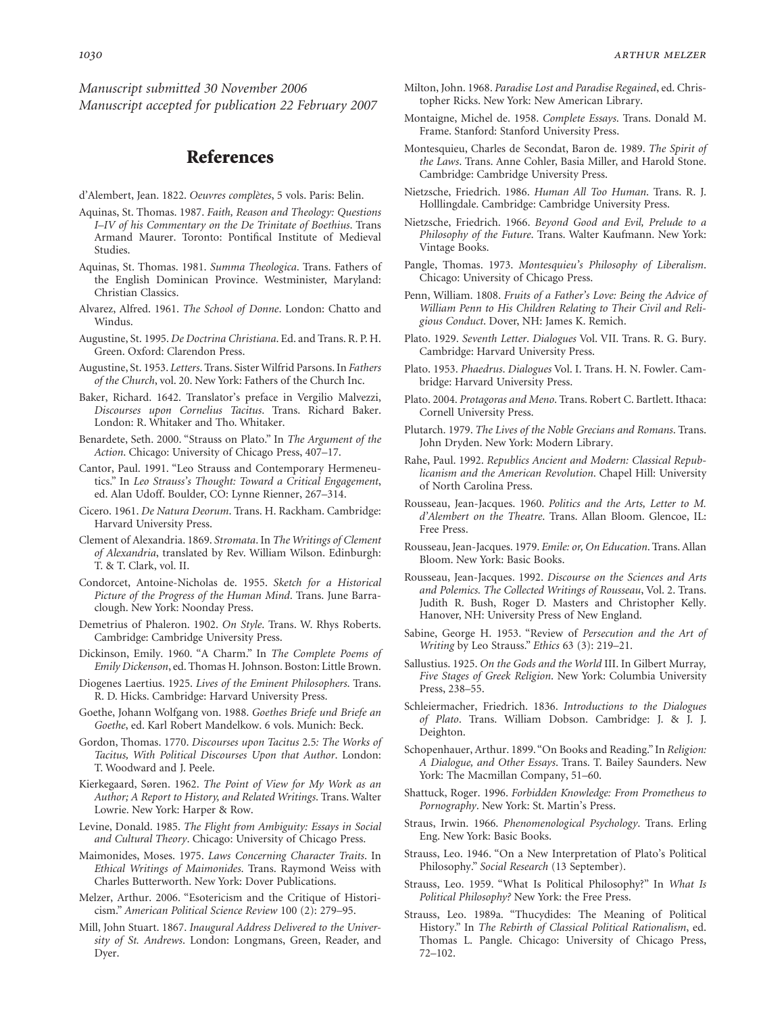*Manuscript submitted 30 November 2006 Manuscript accepted for publication 22 February 2007*

# **References**

- d'Alembert, Jean. 1822. *Oeuvres complètes*, 5 vols. Paris: Belin.
- Aquinas, St. Thomas. 1987. *Faith, Reason and Theology: Questions I–IV of his Commentary on the De Trinitate of Boethius*. Trans Armand Maurer. Toronto: Pontifical Institute of Medieval Studies.
- Aquinas, St. Thomas. 1981. *Summa Theologica*. Trans. Fathers of the English Dominican Province. Westminister, Maryland: Christian Classics.
- Alvarez, Alfred. 1961. *The School of Donne*. London: Chatto and Windus.
- Augustine, St. 1995. *De Doctrina Christiana*. Ed. and Trans. R. P. H. Green. Oxford: Clarendon Press.
- Augustine, St. 1953. *Letters*. Trans. Sister Wilfrid Parsons. In *Fathers of the Church*, vol. 20. New York: Fathers of the Church Inc.
- Baker, Richard. 1642. Translator's preface in Vergilio Malvezzi, *Discourses upon Cornelius Tacitus*. Trans. Richard Baker. London: R. Whitaker and Tho. Whitaker.
- Benardete, Seth. 2000. "Strauss on Plato." In *The Argument of the Action*. Chicago: University of Chicago Press, 407–17.
- Cantor, Paul. 1991. "Leo Strauss and Contemporary Hermeneutics." In *Leo Strauss's Thought: Toward a Critical Engagement*, ed. Alan Udoff. Boulder, CO: Lynne Rienner, 267–314.
- Cicero. 1961. *De Natura Deorum*. Trans. H. Rackham. Cambridge: Harvard University Press.
- Clement of Alexandria. 1869. *Stromata*. In *The Writings of Clement of Alexandria*, translated by Rev. William Wilson. Edinburgh: T. & T. Clark, vol. II.
- Condorcet, Antoine-Nicholas de. 1955. *Sketch for a Historical Picture of the Progress of the Human Mind*. Trans. June Barraclough. New York: Noonday Press.
- Demetrius of Phaleron. 1902. *On Style*. Trans. W. Rhys Roberts. Cambridge: Cambridge University Press.
- Dickinson, Emily. 1960. "A Charm." In *The Complete Poems of Emily Dickenson*, ed. Thomas H. Johnson. Boston: Little Brown.
- Diogenes Laertius. 1925. *Lives of the Eminent Philosophers*. Trans. R. D. Hicks. Cambridge: Harvard University Press.
- Goethe, Johann Wolfgang von. 1988. *Goethes Briefe und Briefe an Goethe*, ed. Karl Robert Mandelkow. 6 vols. Munich: Beck.
- Gordon, Thomas. 1770. *Discourses upon Tacitus* 2.5*: The Works of Tacitus, With Political Discourses Upon that Author*. London: T. Woodward and J. Peele.
- Kierkegaard, Søren. 1962. *The Point of View for My Work as an Author; A Report to History, and Related Writings*. Trans. Walter Lowrie. New York: Harper & Row.
- Levine, Donald. 1985. *The Flight from Ambiguity: Essays in Social and Cultural Theory*. Chicago: University of Chicago Press.
- Maimonides, Moses. 1975. *Laws Concerning Character Traits*. In *Ethical Writings of Maimonides*. Trans. Raymond Weiss with Charles Butterworth. New York: Dover Publications.
- Melzer, Arthur. 2006. "Esotericism and the Critique of Historicism." *American Political Science Review* 100 (2): 279–95.
- Mill, John Stuart. 1867. *Inaugural Address Delivered to the University of St. Andrews*. London: Longmans, Green, Reader, and Dyer.
- Milton, John. 1968. *Paradise Lost and Paradise Regained*, ed. Christopher Ricks. New York: New American Library.
- Montaigne, Michel de. 1958. *Complete Essays*. Trans. Donald M. Frame. Stanford: Stanford University Press.
- Montesquieu, Charles de Secondat, Baron de. 1989. *The Spirit of the Laws*. Trans. Anne Cohler, Basia Miller, and Harold Stone. Cambridge: Cambridge University Press.
- Nietzsche, Friedrich. 1986. *Human All Too Human*. Trans. R. J. Holllingdale. Cambridge: Cambridge University Press.
- Nietzsche, Friedrich. 1966. *Beyond Good and Evil, Prelude to a Philosophy of the Future*. Trans. Walter Kaufmann. New York: Vintage Books.
- Pangle, Thomas. 1973. *Montesquieu's Philosophy of Liberalism*. Chicago: University of Chicago Press.
- Penn, William. 1808. *Fruits of a Father's Love: Being the Advice of William Penn to His Children Relating to Their Civil and Religious Conduct*. Dover, NH: James K. Remich.
- Plato. 1929. *Seventh Letter*. *Dialogues* Vol. VII. Trans. R. G. Bury. Cambridge: Harvard University Press.
- Plato. 1953. *Phaedrus*. *Dialogues* Vol. I. Trans. H. N. Fowler. Cambridge: Harvard University Press.
- Plato. 2004. *Protagoras and Meno*. Trans. Robert C. Bartlett. Ithaca: Cornell University Press.
- Plutarch. 1979. *The Lives of the Noble Grecians and Romans*. Trans. John Dryden. New York: Modern Library.
- Rahe, Paul. 1992. *Republics Ancient and Modern: Classical Republicanism and the American Revolution*. Chapel Hill: University of North Carolina Press.
- Rousseau, Jean-Jacques. 1960. *Politics and the Arts, Letter to M. d'Alembert on the Theatre*. Trans. Allan Bloom. Glencoe, IL: Free Press.
- Rousseau, Jean-Jacques. 1979. *Emile: or, On Education*. Trans. Allan Bloom. New York: Basic Books.
- Rousseau, Jean-Jacques. 1992. *Discourse on the Sciences and Arts and Polemics. The Collected Writings of Rousseau*, Vol. 2. Trans. Judith R. Bush, Roger D. Masters and Christopher Kelly. Hanover, NH: University Press of New England.
- Sabine, George H. 1953. "Review of *Persecution and the Art of Writing* by Leo Strauss." *Ethics* 63 (3): 219–21.
- Sallustius. 1925. *On the Gods and the World* III. In Gilbert Murray*, Five Stages of Greek Religion*. New York: Columbia University Press, 238–55.
- Schleiermacher, Friedrich. 1836. *Introductions to the Dialogues of Plato*. Trans. William Dobson. Cambridge: J. & J. J. Deighton.
- Schopenhauer, Arthur. 1899."On Books and Reading." In *Religion: A Dialogue, and Other Essays*. Trans. T. Bailey Saunders. New York: The Macmillan Company, 51–60.
- Shattuck, Roger. 1996. *Forbidden Knowledge: From Prometheus to Pornography*. New York: St. Martin's Press.
- Straus, Irwin. 1966. *Phenomenological Psychology*. Trans. Erling Eng. New York: Basic Books.
- Strauss, Leo. 1946. "On a New Interpretation of Plato's Political Philosophy." *Social Research* (13 September).
- Strauss, Leo. 1959. "What Is Political Philosophy?" In *What Is Political Philosophy?* New York: the Free Press.
- Strauss, Leo. 1989a. "Thucydides: The Meaning of Political History." In *The Rebirth of Classical Political Rationalism*, ed. Thomas L. Pangle. Chicago: University of Chicago Press, 72–102.